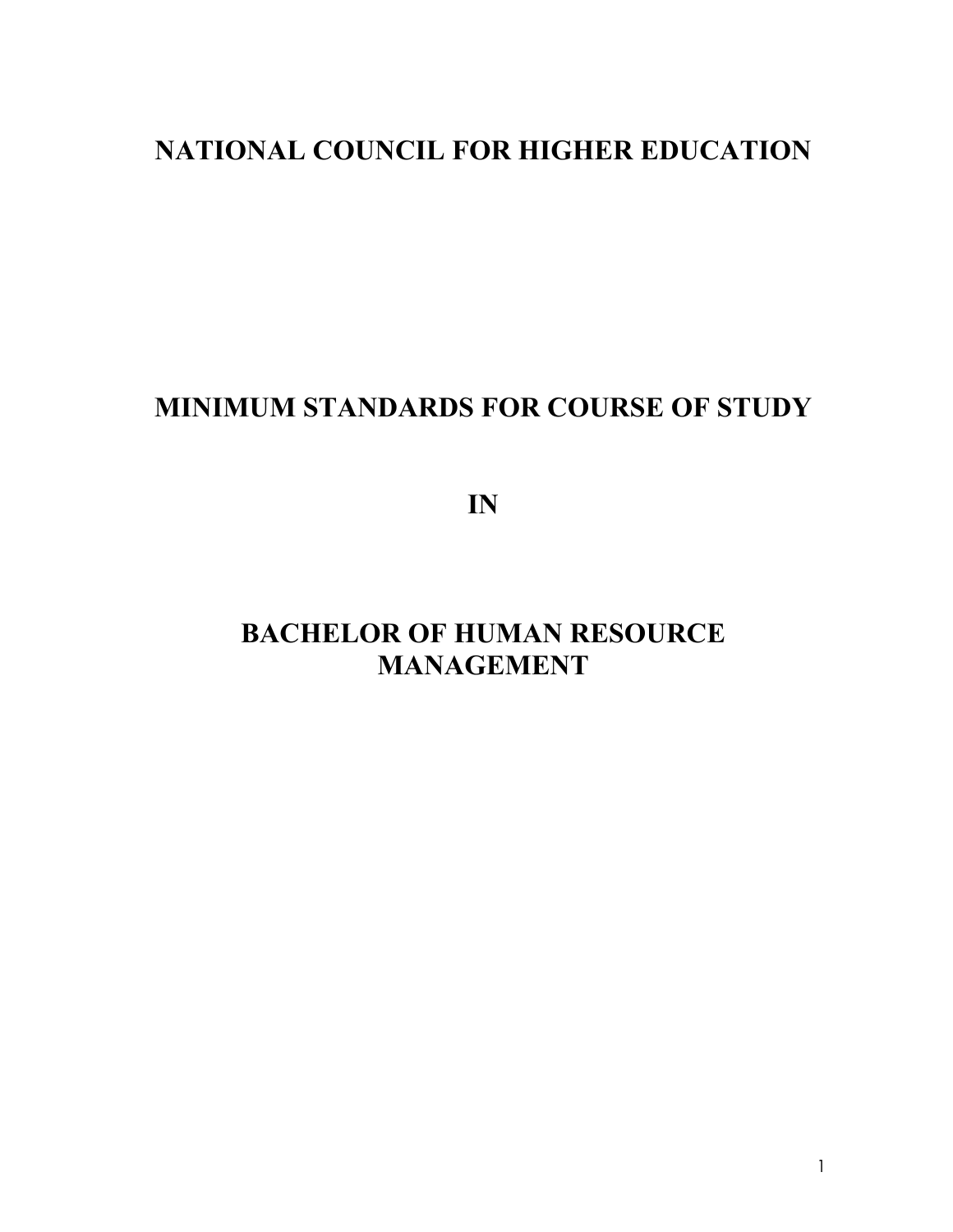# **NATIONAL COUNCIL FOR HIGHER EDUCATION**

# **MINIMUM STANDARDS FOR COURSE OF STUDY**

**IN** 

# **BACHELOR OF HUMAN RESOURCE MANAGEMENT**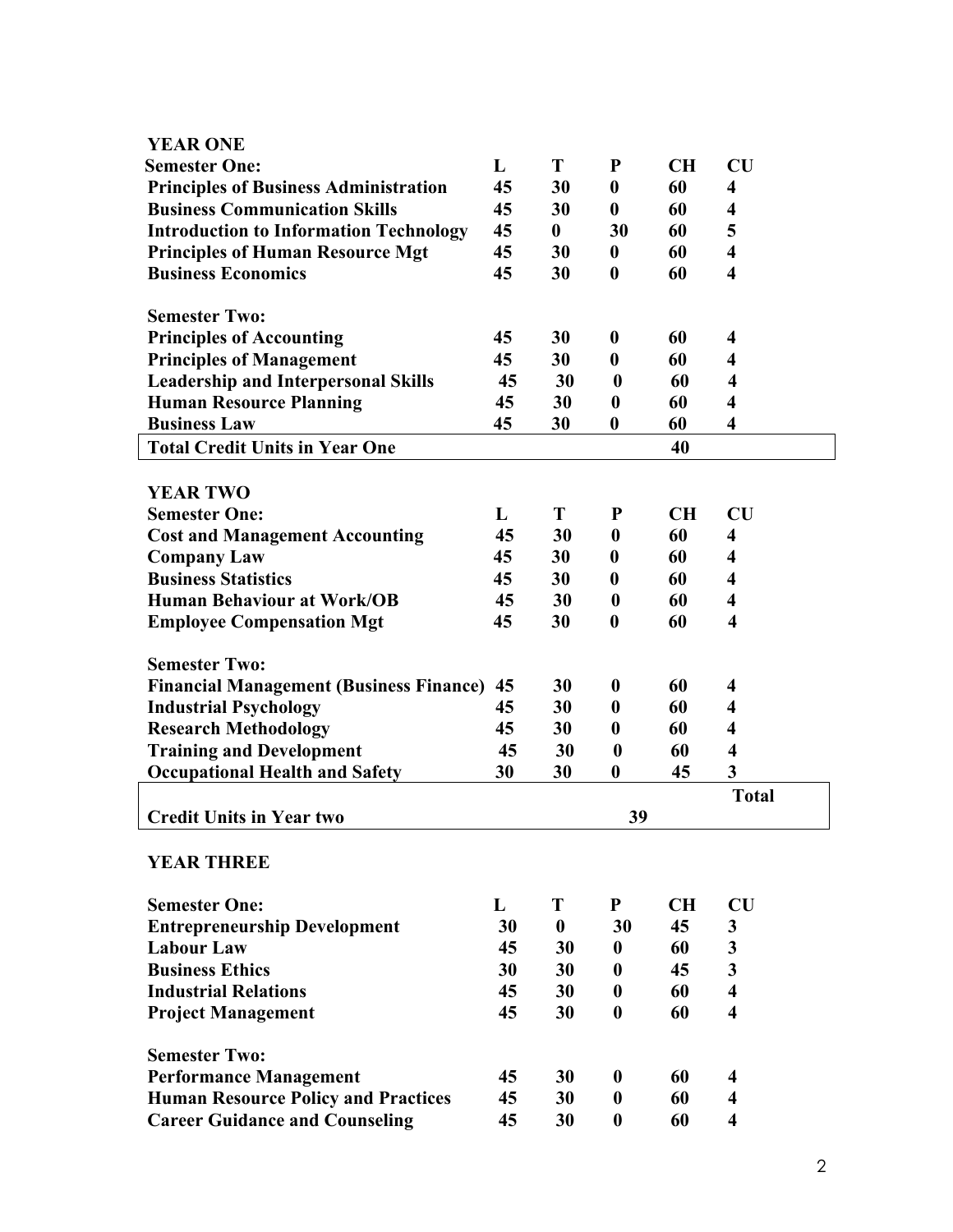| <b>YEAR ONE</b>                                                                     |          |                  |                      |          |                              |
|-------------------------------------------------------------------------------------|----------|------------------|----------------------|----------|------------------------------|
| <b>Semester One:</b>                                                                | L        | T                | $\mathbf P$          | CH       | $\overline{\text{CU}}$       |
| <b>Principles of Business Administration</b>                                        | 45       | 30               | $\bf{0}$             | 60       | $\overline{\mathbf{4}}$      |
| <b>Business Communication Skills</b>                                                | 45       | 30               | $\boldsymbol{0}$     | 60       | 4                            |
| <b>Introduction to Information Technology</b>                                       | 45       | $\bf{0}$         | 30                   | 60       | 5                            |
| <b>Principles of Human Resource Mgt</b>                                             | 45       | 30               | $\boldsymbol{0}$     | 60       | $\overline{\mathbf{4}}$      |
| <b>Business Economics</b>                                                           | 45       | 30               | $\boldsymbol{0}$     | 60       | $\overline{\mathbf{4}}$      |
|                                                                                     |          |                  |                      |          |                              |
| <b>Semester Two:</b>                                                                |          |                  |                      |          |                              |
| <b>Principles of Accounting</b>                                                     | 45       | 30               | $\boldsymbol{0}$     | 60       | 4                            |
| <b>Principles of Management</b>                                                     | 45       | 30               | $\bf{0}$             | 60       | 4                            |
| <b>Leadership and Interpersonal Skills</b>                                          | 45       | 30               | $\boldsymbol{0}$     | 60       | 4                            |
| <b>Human Resource Planning</b>                                                      | 45       | 30               | $\boldsymbol{0}$     | 60       | $\overline{\mathbf{4}}$      |
| <b>Business Law</b>                                                                 | 45       | 30               | $\boldsymbol{0}$     | 60       | 4                            |
| <b>Total Credit Units in Year One</b>                                               |          |                  |                      | 40       |                              |
|                                                                                     |          |                  |                      |          |                              |
| <b>YEAR TWO</b>                                                                     |          |                  |                      |          |                              |
| <b>Semester One:</b>                                                                | L        | T                | ${\bf P}$            | CH       | $\overline{\text{CU}}$       |
| <b>Cost and Management Accounting</b>                                               | 45       | 30               | $\boldsymbol{0}$     | 60       | $\overline{\mathbf{4}}$      |
| <b>Company Law</b>                                                                  | 45       | 30               | $\boldsymbol{0}$     | 60       | 4                            |
| <b>Business Statistics</b>                                                          | 45       | 30               | $\boldsymbol{0}$     | 60       | $\overline{\mathbf{4}}$      |
| <b>Human Behaviour at Work/OB</b>                                                   | 45       | 30               | $\boldsymbol{0}$     | 60       | $\overline{\mathbf{4}}$      |
| <b>Employee Compensation Mgt</b>                                                    | 45       | 30               | $\boldsymbol{0}$     | 60       | $\overline{\mathbf{4}}$      |
|                                                                                     |          |                  |                      |          |                              |
| <b>Semester Two:</b>                                                                |          |                  |                      |          |                              |
| <b>Financial Management (Business Finance)</b>                                      | 45       | 30               | $\bf{0}$             | 60       | 4                            |
| <b>Industrial Psychology</b>                                                        | 45       | 30               | $\boldsymbol{0}$     | 60       | 4                            |
| <b>Research Methodology</b>                                                         | 45       | 30               | $\bf{0}$             | 60       | $\overline{\mathbf{4}}$      |
| <b>Training and Development</b>                                                     | 45       | 30               | $\boldsymbol{0}$     | 60       | $\overline{\mathbf{4}}$      |
| <b>Occupational Health and Safety</b>                                               | 30       | 30               | $\boldsymbol{0}$     | 45       | 3                            |
|                                                                                     |          |                  |                      |          | <b>Total</b>                 |
| <b>Credit Units in Year two</b>                                                     |          |                  | 39                   |          |                              |
|                                                                                     |          |                  |                      |          |                              |
| <b>YEAR THREE</b>                                                                   |          |                  |                      |          |                              |
|                                                                                     |          |                  |                      |          |                              |
| <b>Semester One:</b>                                                                | L        | T                | ${\bf P}$            | CH       | $\overline{\text{CU}}$       |
| <b>Entrepreneurship Development</b>                                                 | 30       | $\boldsymbol{0}$ | 30                   | 45       | 3                            |
| <b>Labour Law</b>                                                                   | 45       | 30               | $\bf{0}$             | 60       | $\overline{\mathbf{3}}$      |
| <b>Business Ethics</b>                                                              | 30       | 30               | $\bf{0}$             | 45       | $\overline{\mathbf{3}}$      |
| <b>Industrial Relations</b>                                                         | 45       | 30               | $\bf{0}$             | 60       | $\overline{\mathbf{4}}$      |
| <b>Project Management</b>                                                           | 45       | 30               | $\bf{0}$             | 60       | $\overline{\mathbf{4}}$      |
|                                                                                     |          |                  |                      |          |                              |
| <b>Semester Two:</b>                                                                |          |                  |                      |          |                              |
|                                                                                     |          |                  |                      |          |                              |
| <b>Performance Management</b>                                                       | 45       | 30               | $\bf{0}$             | 60       | 4                            |
| <b>Human Resource Policy and Practices</b><br><b>Career Guidance and Counseling</b> | 45<br>45 | 30<br>30         | $\bf{0}$<br>$\bf{0}$ | 60<br>60 | 4<br>$\overline{\mathbf{4}}$ |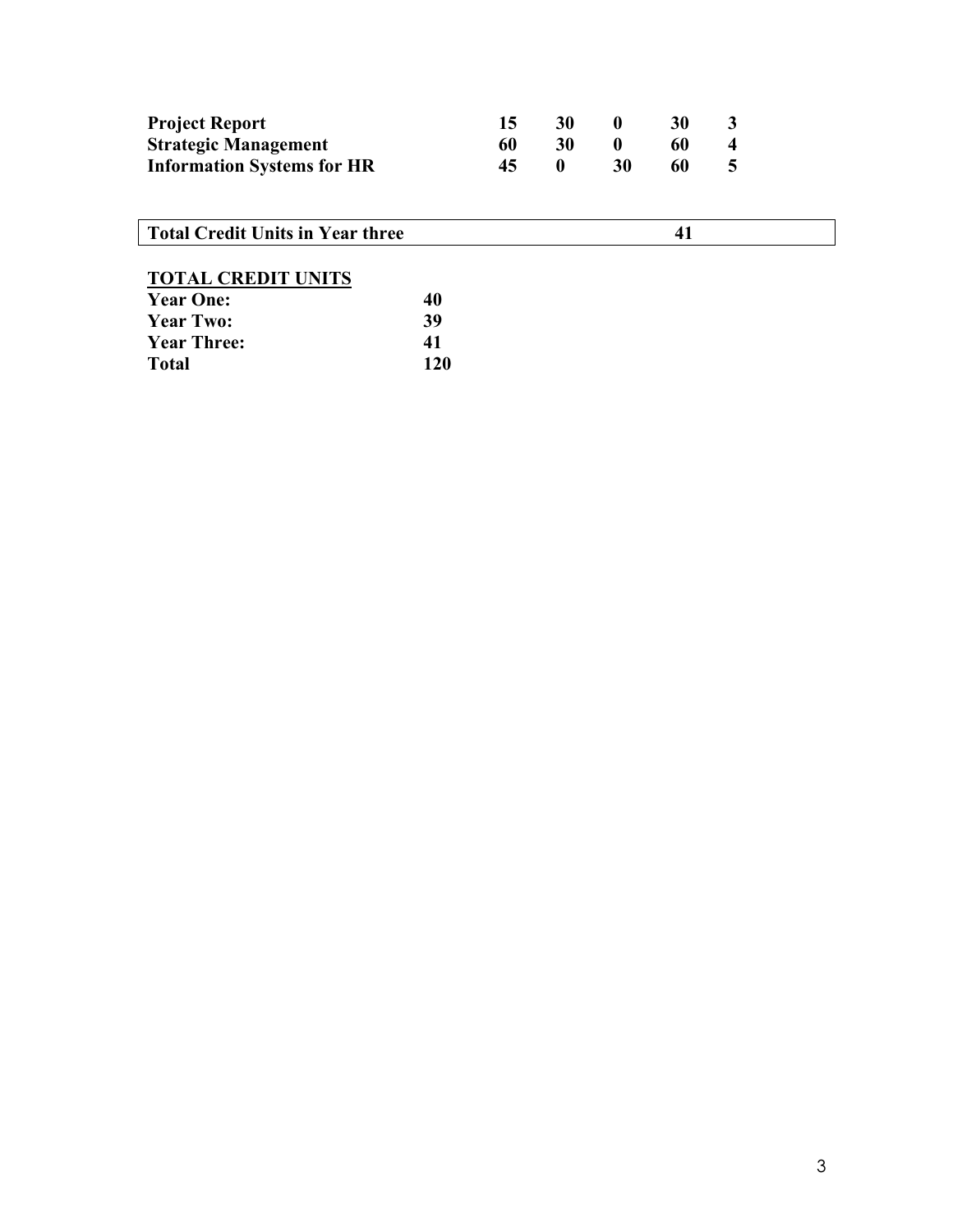| <b>Project Report</b>             |    | <b>30</b>    |    | 30 |  |
|-----------------------------------|----|--------------|----|----|--|
| <b>Strategic Management</b>       | 60 | 30           |    | 60 |  |
| <b>Information Systems for HR</b> |    | $\mathbf{0}$ | 30 | 60 |  |

**Total Credit Units in Year three** 41

# **TOTAL CREDIT UNITS**

| <b>Year One:</b>   | 40  |
|--------------------|-----|
| <b>Year Two:</b>   | 39  |
| <b>Year Three:</b> | 41  |
| Total              | 120 |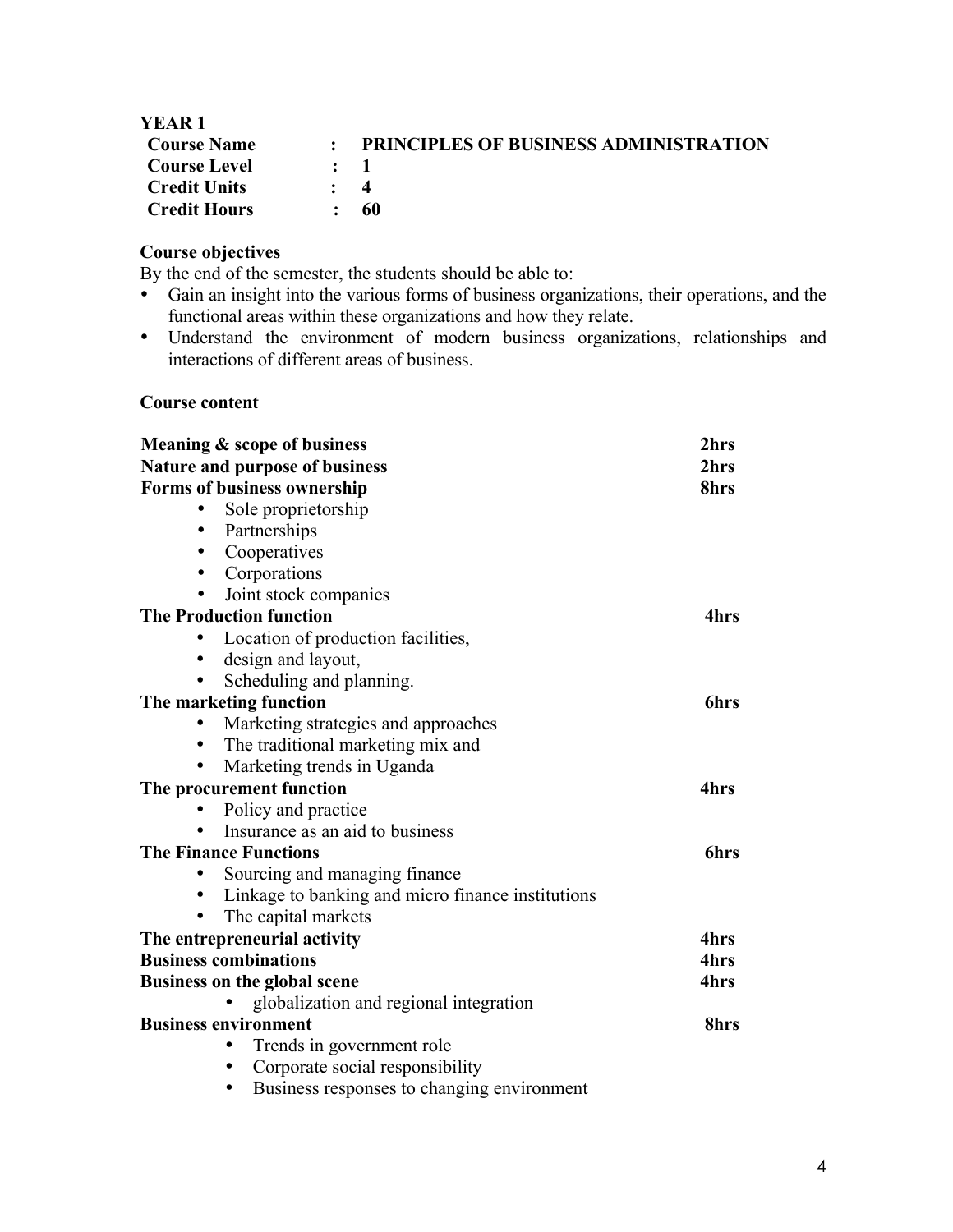| <b>YEAR 1</b>       |                                              |
|---------------------|----------------------------------------------|
| <b>Course Name</b>  | <b>PRINCIPLES OF BUSINESS ADMINISTRATION</b> |
| <b>Course Level</b> | $\mathbf{r}$ 1                               |
| <b>Credit Units</b> | $\cdot$ 4                                    |
| <b>Credit Hours</b> | -60                                          |

# **Course objectives**

By the end of the semester, the students should be able to:

- Gain an insight into the various forms of business organizations, their operations, and the functional areas within these organizations and how they relate.
- Understand the environment of modern business organizations, relationships and interactions of different areas of business.

# **Course content**

|           | Meaning & scope of business                             | 2hrs        |
|-----------|---------------------------------------------------------|-------------|
|           | <b>Nature and purpose of business</b>                   | 2hrs        |
|           | <b>Forms of business ownership</b>                      | 8hrs        |
|           | Sole proprietorship                                     |             |
|           | Partnerships                                            |             |
|           | Cooperatives                                            |             |
| $\bullet$ | Corporations                                            |             |
|           | Joint stock companies                                   |             |
|           | <b>The Production function</b>                          | 4hrs        |
|           | Location of production facilities,                      |             |
| $\bullet$ | design and layout,                                      |             |
|           | Scheduling and planning.                                |             |
|           | The marketing function                                  | <b>6hrs</b> |
|           | Marketing strategies and approaches                     |             |
|           | The traditional marketing mix and                       |             |
|           | Marketing trends in Uganda                              |             |
|           | The procurement function                                | 4hrs        |
|           | Policy and practice                                     |             |
|           | Insurance as an aid to business                         |             |
|           | <b>The Finance Functions</b>                            | <b>6hrs</b> |
|           | Sourcing and managing finance                           |             |
| $\bullet$ | Linkage to banking and micro finance institutions       |             |
|           | The capital markets                                     |             |
|           | The entrepreneurial activity                            | 4hrs        |
|           | <b>Business combinations</b>                            | 4hrs        |
|           | <b>Business on the global scene</b>                     | 4hrs        |
|           | globalization and regional integration                  |             |
|           | <b>Business environment</b>                             | 8hrs        |
|           | Trends in government role                               |             |
|           | Corporate social responsibility                         |             |
|           | Business responses to changing environment<br>$\bullet$ |             |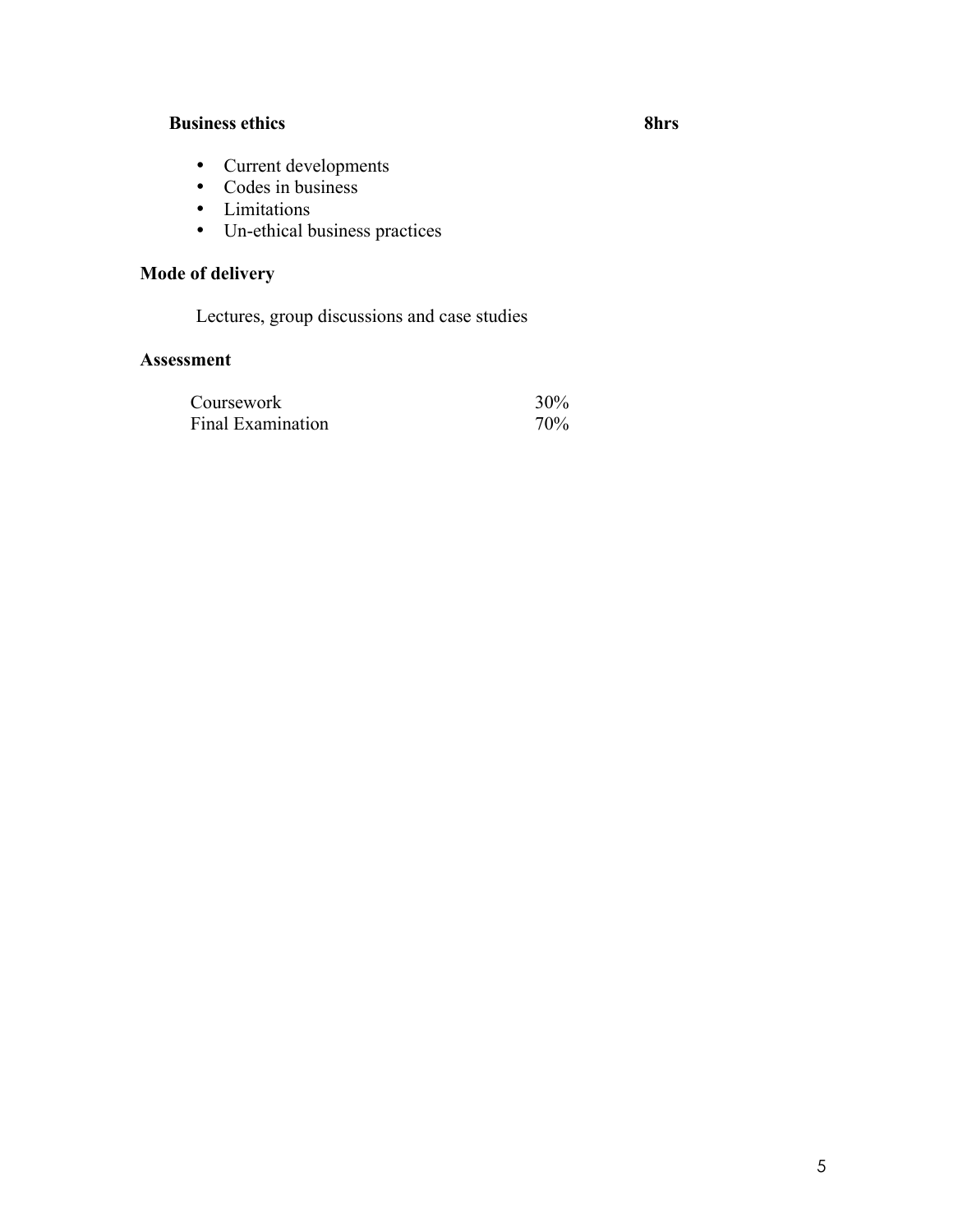# **Business ethics 8hrs**

- Current developments
- Codes in business
- Limitations
- Un-ethical business practices

# **Mode of delivery**

Lectures, group discussions and case studies

| Coursework               | 30%             |
|--------------------------|-----------------|
| <b>Final Examination</b> | 70 <sub>%</sub> |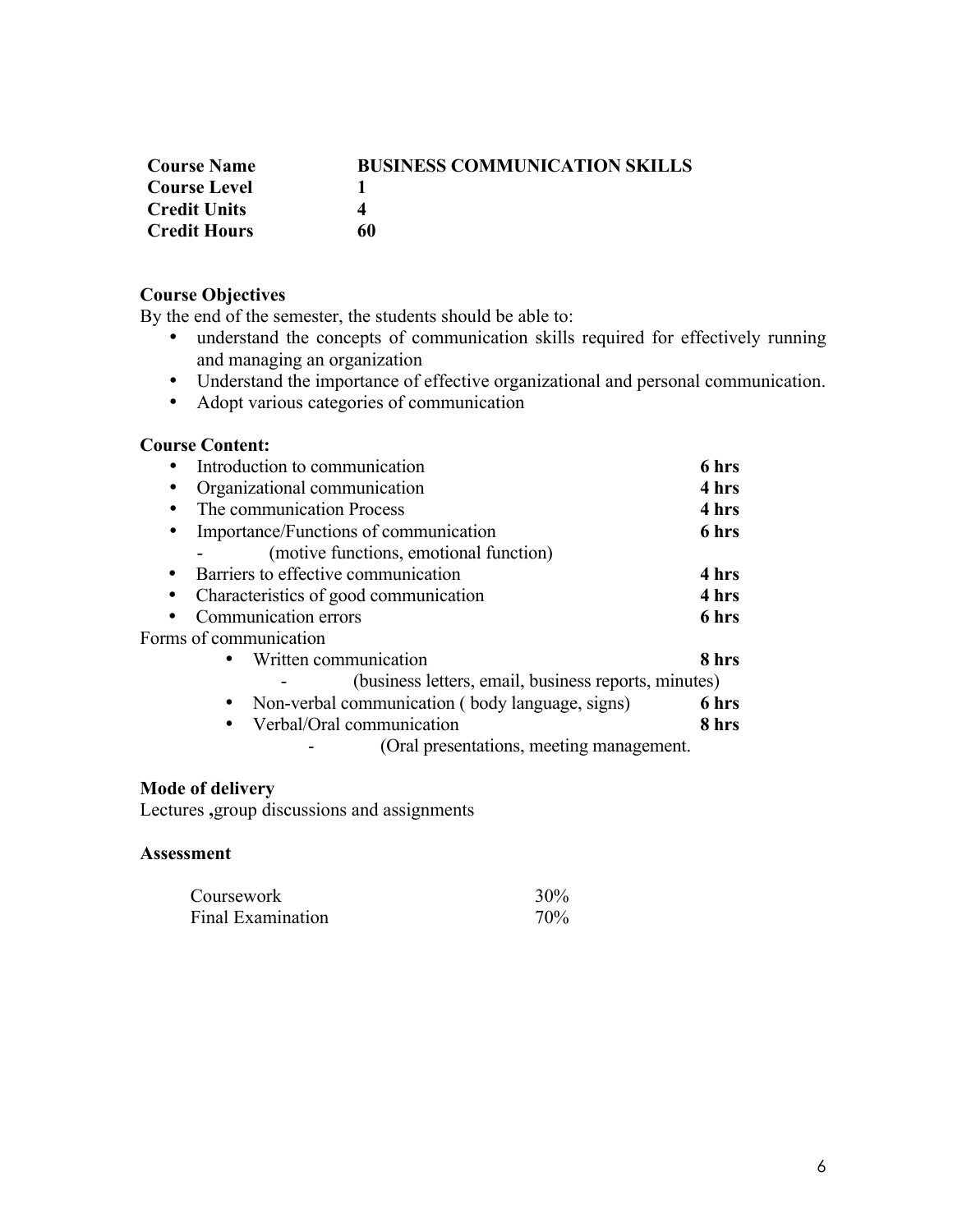| <b>Course Name</b>  | <b>BUSINESS COMMUNICATION SKILLS</b> |
|---------------------|--------------------------------------|
| <b>Course Level</b> |                                      |
| <b>Credit Units</b> | Δ                                    |
| <b>Credit Hours</b> | 60                                   |

# **Course Objectives**

By the end of the semester, the students should be able to:

- understand the concepts of communication skills required for effectively running and managing an organization
- Understand the importance of effective organizational and personal communication.
- Adopt various categories of communication

#### **Course Content:**

| Introduction to communication                        | 6 hrs |
|------------------------------------------------------|-------|
| Organizational communication                         | 4 hrs |
| The communication Process<br>٠                       | 4 hrs |
| Importance/Functions of communication<br>٠           | 6 hrs |
| (motive functions, emotional function)               |       |
| Barriers to effective communication                  | 4 hrs |
| Characteristics of good communication                | 4 hrs |
| Communication errors                                 | 6 hrs |
| Forms of communication                               |       |
| Written communication                                | 8 hrs |
| (business letters, email, business reports, minutes) |       |
| Non-verbal communication (body language, signs)      | 6 hrs |
| Verbal/Oral communication                            | 8 hrs |
| (Oral presentations, meeting management.)            |       |

# **Mode of delivery**

Lectures **,**group discussions and assignments

| Coursework        | 30% |
|-------------------|-----|
| Final Examination | 70% |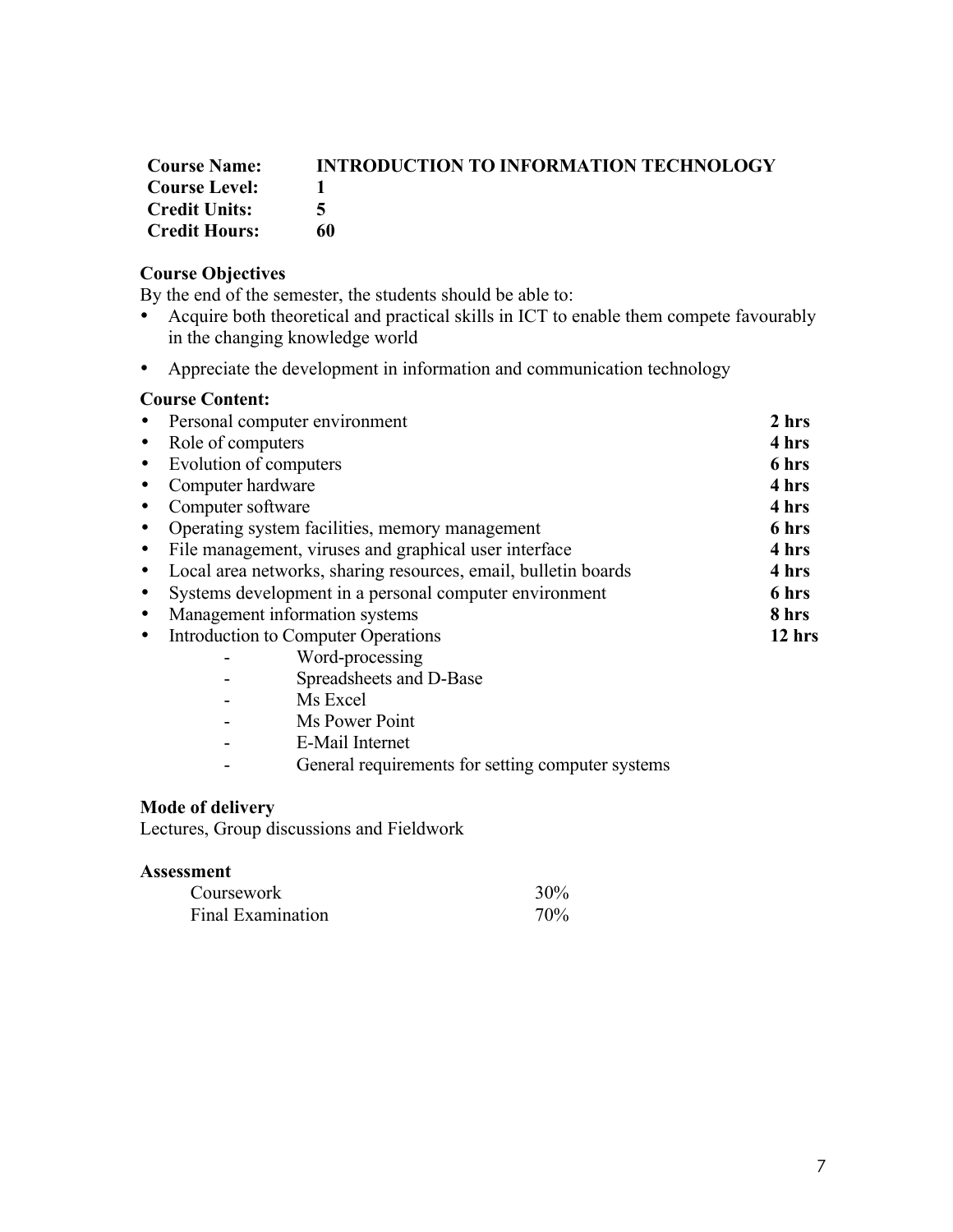# **Course Name: INTRODUCTION TO INFORMATION TECHNOLOGY Course Level:** 1<br>Credit Units: 5 **Credit Units: 5 Credit Hours: 60**

# **Course Objectives**

By the end of the semester, the students should be able to:

- Acquire both theoretical and practical skills in ICT to enable them compete favourably in the changing knowledge world
- Appreciate the development in information and communication technology

#### **Course Content:**

| • Personal computer environment                                     | 2 hrs  |
|---------------------------------------------------------------------|--------|
| • Role of computers                                                 | 4 hrs  |
| • Evolution of computers                                            | 6 hrs  |
| Computer hardware<br>$\bullet$                                      | 4 hrs  |
| Computer software<br>$\bullet$                                      | 4 hrs  |
| Operating system facilities, memory management<br>$\bullet$         | 6 hrs  |
| • File management, viruses and graphical user interface             | 4 hrs  |
| • Local area networks, sharing resources, email, bulletin boards    | 4 hrs  |
| Systems development in a personal computer environment<br>$\bullet$ | 6 hrs  |
| Management information systems<br>$\bullet$                         | 8 hrs  |
| Introduction to Computer Operations<br>$\bullet$                    | 12 hrs |
| Word-processing                                                     |        |
| $\alpha$ 11, 1 $\alpha$ $\beta$                                     |        |

- Spreadsheets and D-Base
- Ms Excel
- Ms Power Point
- E-Mail Internet
- General requirements for setting computer systems

#### **Mode of delivery**

Lectures, Group discussions and Fieldwork

| Coursework        | 30% |
|-------------------|-----|
| Final Examination | 70% |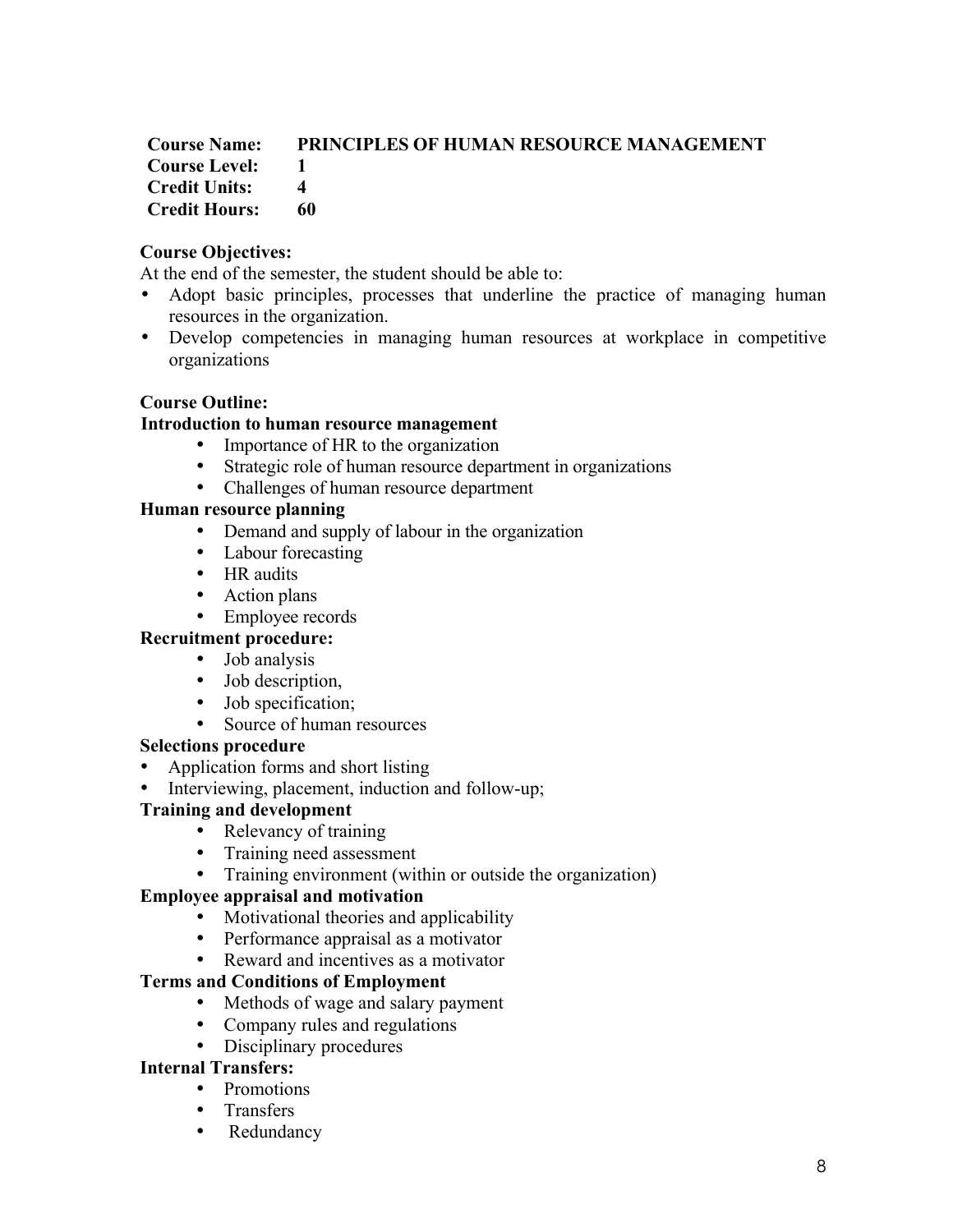# **Course Name: PRINCIPLES OF HUMAN RESOURCE MANAGEMENT Course Level: 1 Credit Units: 4 Credit Hours: 60**

# **Course Objectives:**

At the end of the semester, the student should be able to:

- Adopt basic principles, processes that underline the practice of managing human resources in the organization.
- Develop competencies in managing human resources at workplace in competitive organizations

# **Course Outline:**

# **Introduction to human resource management**

- Importance of HR to the organization
- Strategic role of human resource department in organizations
- Challenges of human resource department

# **Human resource planning**

- Demand and supply of labour in the organization
- Labour forecasting
- HR audits
- Action plans
- Employee records

# **Recruitment procedure:**

- Job analysis
- Job description,
- Job specification;
- Source of human resources

### **Selections procedure**

- Application forms and short listing
- Interviewing, placement, induction and follow-up;

# **Training and development**

- Relevancy of training
- Training need assessment
- Training environment (within or outside the organization)

# **Employee appraisal and motivation**

- Motivational theories and applicability
- Performance appraisal as a motivator
- Reward and incentives as a motivator

# **Terms and Conditions of Employment**

- Methods of wage and salary payment
- Company rules and regulations
- Disciplinary procedures

### **Internal Transfers:**

- Promotions
- Transfers
- Redundancy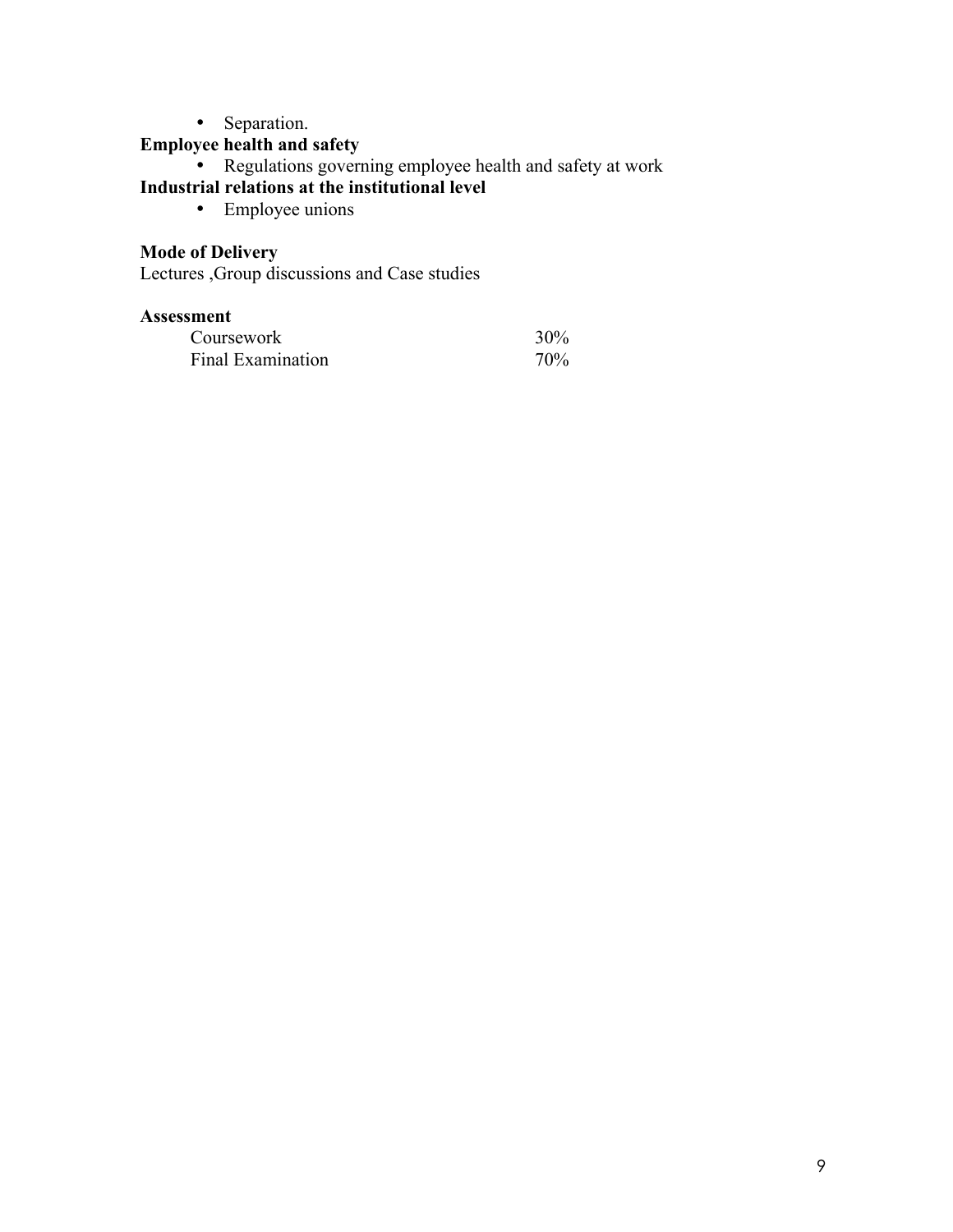• Separation.

# **Employee health and safety**

• Regulations governing employee health and safety at work

# **Industrial relations at the institutional level**

• Employee unions

# **Mode of Delivery**

Lectures ,Group discussions and Case studies

| Coursework        | 30% |
|-------------------|-----|
| Final Examination | 70% |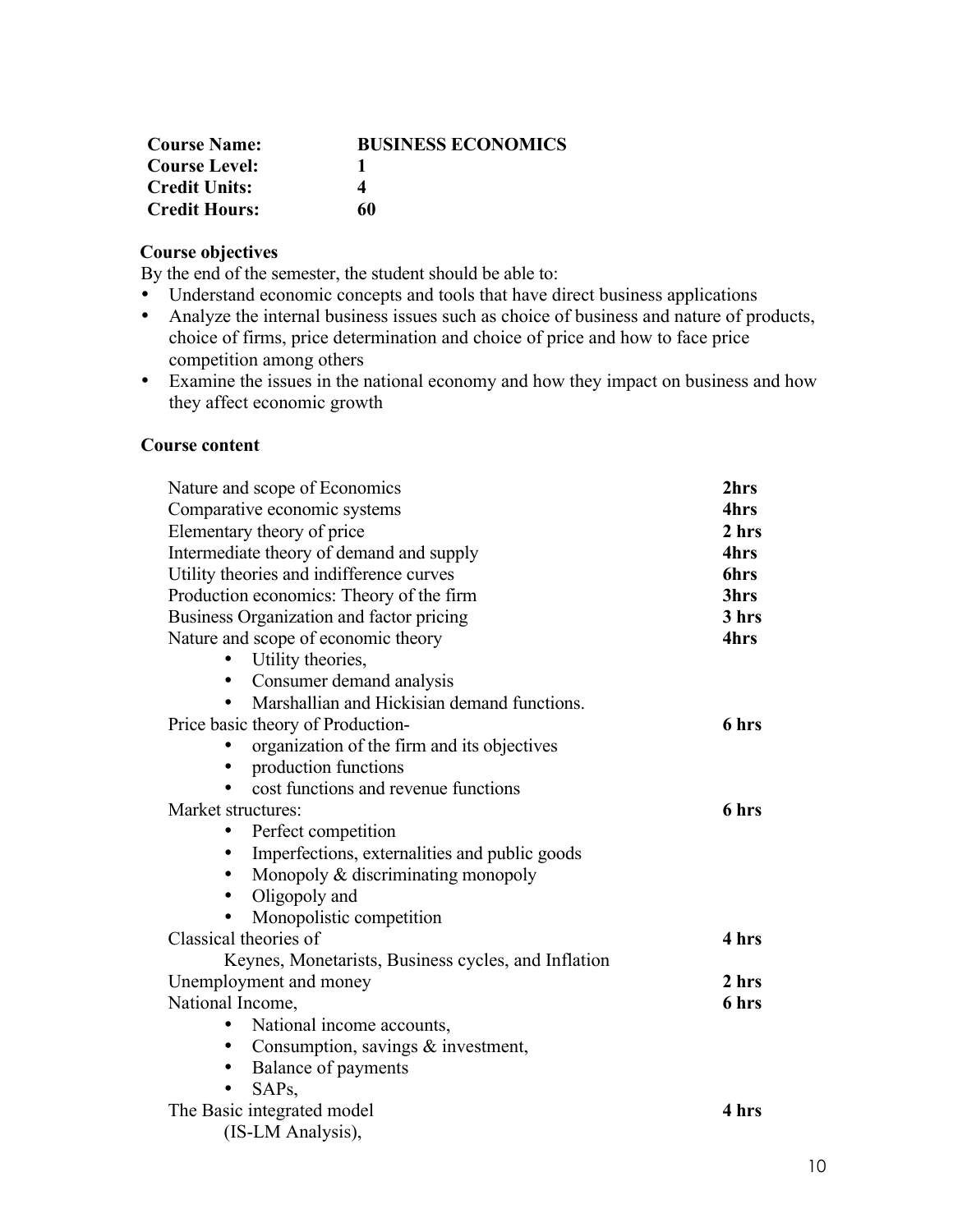| <b>Course Name:</b>  | <b>BUSINESS ECONOMICS</b> |
|----------------------|---------------------------|
| <b>Course Level:</b> |                           |
| <b>Credit Units:</b> | 4                         |
| <b>Credit Hours:</b> | 60                        |

# **Course objectives**

By the end of the semester, the student should be able to:

- Understand economic concepts and tools that have direct business applications
- Analyze the internal business issues such as choice of business and nature of products, choice of firms, price determination and choice of price and how to face price competition among others
- Examine the issues in the national economy and how they impact on business and how they affect economic growth

### **Course content**

| Nature and scope of Economics                       | 2hrs        |
|-----------------------------------------------------|-------------|
| Comparative economic systems                        | 4hrs        |
| Elementary theory of price                          | 2 hrs       |
| Intermediate theory of demand and supply            | 4hrs        |
| Utility theories and indifference curves            | <b>6hrs</b> |
| Production economics: Theory of the firm            | 3hrs        |
| Business Organization and factor pricing            | 3 hrs       |
| Nature and scope of economic theory                 | 4hrs        |
| Utility theories,                                   |             |
| Consumer demand analysis<br>$\bullet$               |             |
| Marshallian and Hickisian demand functions.         |             |
| Price basic theory of Production-                   | 6 hrs       |
| organization of the firm and its objectives         |             |
| production functions                                |             |
| cost functions and revenue functions                |             |
| Market structures:                                  | 6 hrs       |
| Perfect competition<br>٠                            |             |
| Imperfections, externalities and public goods<br>٠  |             |
| Monopoly $&$ discriminating monopoly<br>$\bullet$   |             |
| Oligopoly and<br>$\bullet$                          |             |
| Monopolistic competition                            |             |
| Classical theories of                               | 4 hrs       |
| Keynes, Monetarists, Business cycles, and Inflation |             |
| Unemployment and money                              | 2 hrs       |
| National Income,                                    | 6 hrs       |
| National income accounts,<br>$\bullet$              |             |
| Consumption, savings $&$ investment,<br>$\bullet$   |             |
| Balance of payments                                 |             |
| SAP <sub>s</sub>                                    |             |
| The Basic integrated model                          | 4 hrs       |
| (IS-LM Analysis),                                   |             |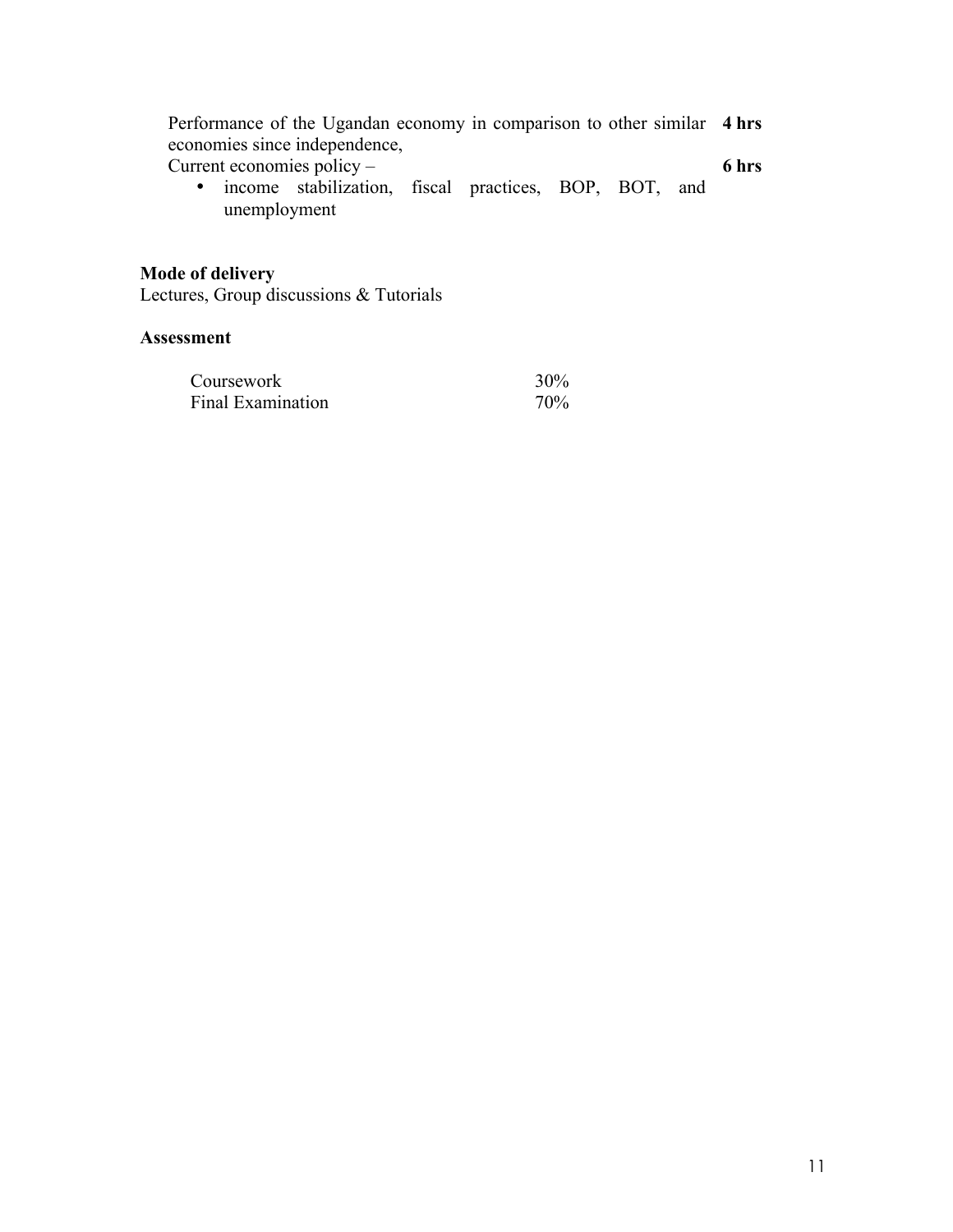| Performance of the Ugandan economy in comparison to other similar 4 hrs |       |
|-------------------------------------------------------------------------|-------|
| economies since independence,                                           |       |
| Current economies policy $-$                                            | 6 hrs |

Current economies policy –

• income stabilization, fiscal practices, BOP, BOT, and unemployment

#### **Mode of delivery**

Lectures, Group discussions & Tutorials

| Coursework        | 30% |
|-------------------|-----|
| Final Examination | 70% |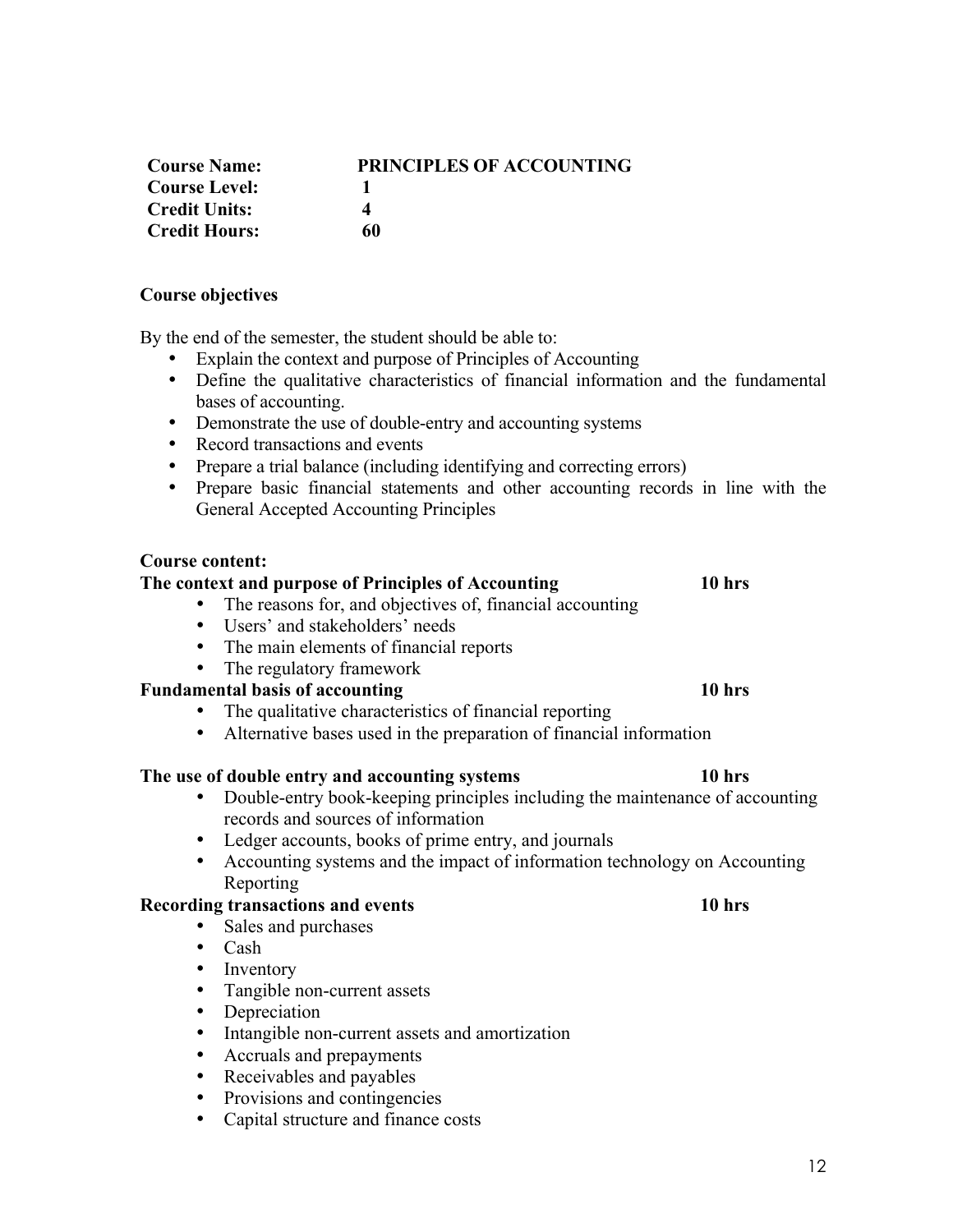| <b>Course Name:</b>  | <b>PRINCIPLES OF ACCOUNTING</b> |
|----------------------|---------------------------------|
| <b>Course Level:</b> |                                 |
| <b>Credit Units:</b> | Δ                               |
| <b>Credit Hours:</b> | 60                              |

#### **Course objectives**

By the end of the semester, the student should be able to:

- Explain the context and purpose of Principles of Accounting
- Define the qualitative characteristics of financial information and the fundamental bases of accounting.
- Demonstrate the use of double-entry and accounting systems
- Record transactions and events
- Prepare a trial balance (including identifying and correcting errors)
- Prepare basic financial statements and other accounting records in line with the General Accepted Accounting Principles

#### **Course content:**

#### **The context and purpose of Principles of Accounting 10 hrs**

- The reasons for, and objectives of, financial accounting
- Users' and stakeholders' needs
- The main elements of financial reports
- The regulatory framework

### **Fundamental basis of accounting 10 hrs**

- The qualitative characteristics of financial reporting
- Alternative bases used in the preparation of financial information

#### **The use of double entry and accounting systems 10 hrs**

- Double-entry book-keeping principles including the maintenance of accounting records and sources of information
- Ledger accounts, books of prime entry, and journals
- Accounting systems and the impact of information technology on Accounting Reporting

#### **Recording transactions and events 10 hrs**

- Sales and purchases
- Cash<br>• Inven
- **Inventory**
- Tangible non-current assets<br>• Depreciation
- **Depreciation**
- Intangible non-current assets and amortization
- Accruals and prepayments<br>• Receivables and pavables
- Receivables and payables
- Provisions and contingencies
- Capital structure and finance costs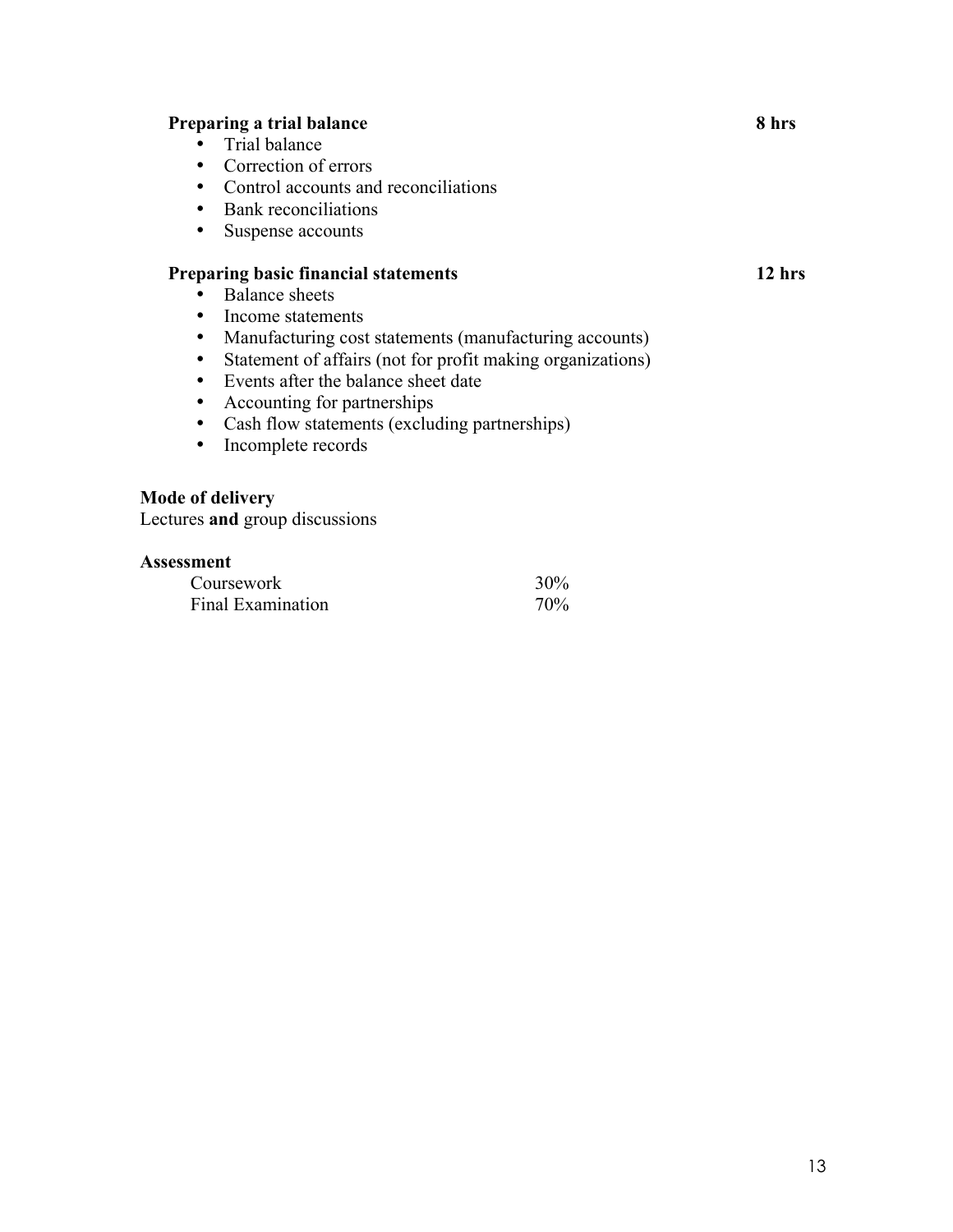# **Preparing a trial balance 8 hrs**

- Trial balance
- Correction of errors
- Control accounts and reconciliations
- Bank reconciliations
- Suspense accounts

# **Preparing basic financial statements 12 hrs**

- Balance sheets<br>• Income statement
- Income statements<br>• Manufacturing cost
- Manufacturing cost statements (manufacturing accounts)<br>• Statement of affairs (not for profit making organizations)
- Statement of affairs (not for profit making organizations)
- Events after the balance sheet date
- Accounting for partnerships<br>• Cash flow statements (exclude
- Cash flow statements (excluding partnerships)
- Incomplete records

#### **Mode of delivery**

Lectures **and** group discussions

| Coursework        | 30% |
|-------------------|-----|
| Final Examination | 70% |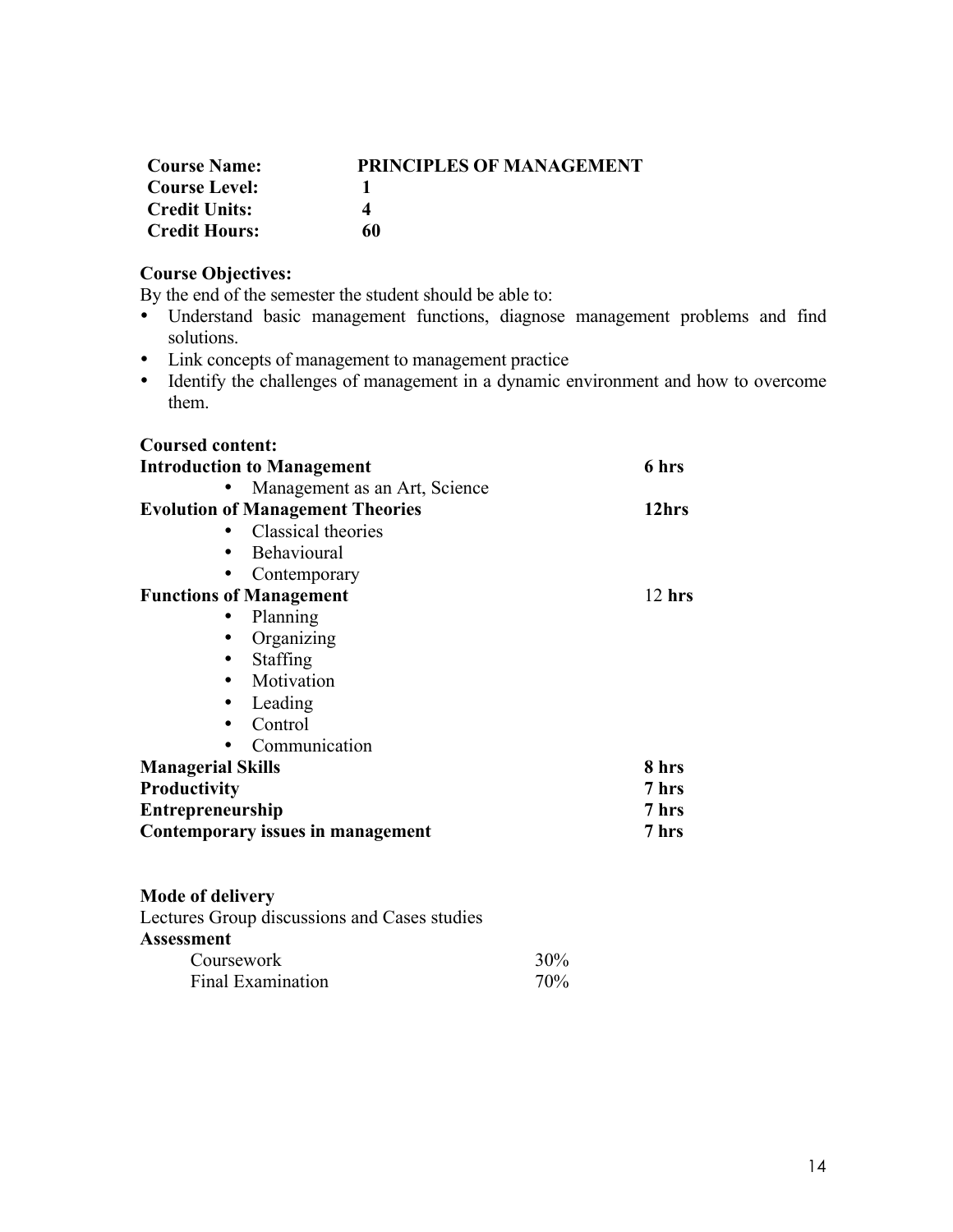| <b>Course Name:</b>  | <b>PRINCIPLES OF MANAGEMENT</b> |
|----------------------|---------------------------------|
| <b>Course Level:</b> |                                 |
| <b>Credit Units:</b> |                                 |
| <b>Credit Hours:</b> | 60                              |

# **Course Objectives:**

By the end of the semester the student should be able to:

- Understand basic management functions, diagnose management problems and find solutions.
- Link concepts of management to management practice
- Identify the challenges of management in a dynamic environment and how to overcome them.

| <b>Coursed content:</b>                      |          |
|----------------------------------------------|----------|
| <b>Introduction to Management</b>            | 6 hrs    |
| Management as an Art, Science                |          |
| <b>Evolution of Management Theories</b>      | 12hrs    |
| Classical theories                           |          |
| Behavioural<br>٠                             |          |
| Contemporary                                 |          |
| <b>Functions of Management</b>               | $12$ hrs |
| Planning                                     |          |
| Organizing                                   |          |
| Staffing                                     |          |
| Motivation<br>٠                              |          |
| Leading<br>$\bullet$                         |          |
| Control<br>٠                                 |          |
| Communication                                |          |
| <b>Managerial Skills</b>                     | 8 hrs    |
| <b>Productivity</b>                          | 7 hrs    |
| <b>Entrepreneurship</b>                      | 7 hrs    |
| Contemporary issues in management            | 7 hrs    |
|                                              |          |
|                                              |          |
| <b>Mode of delivery</b>                      |          |
| Lectures Group discussions and Cases studies |          |
| Assessment                                   |          |

| 9111 V.I.U               |        |
|--------------------------|--------|
| Coursework               | $30\%$ |
| <b>Final Examination</b> | 70%    |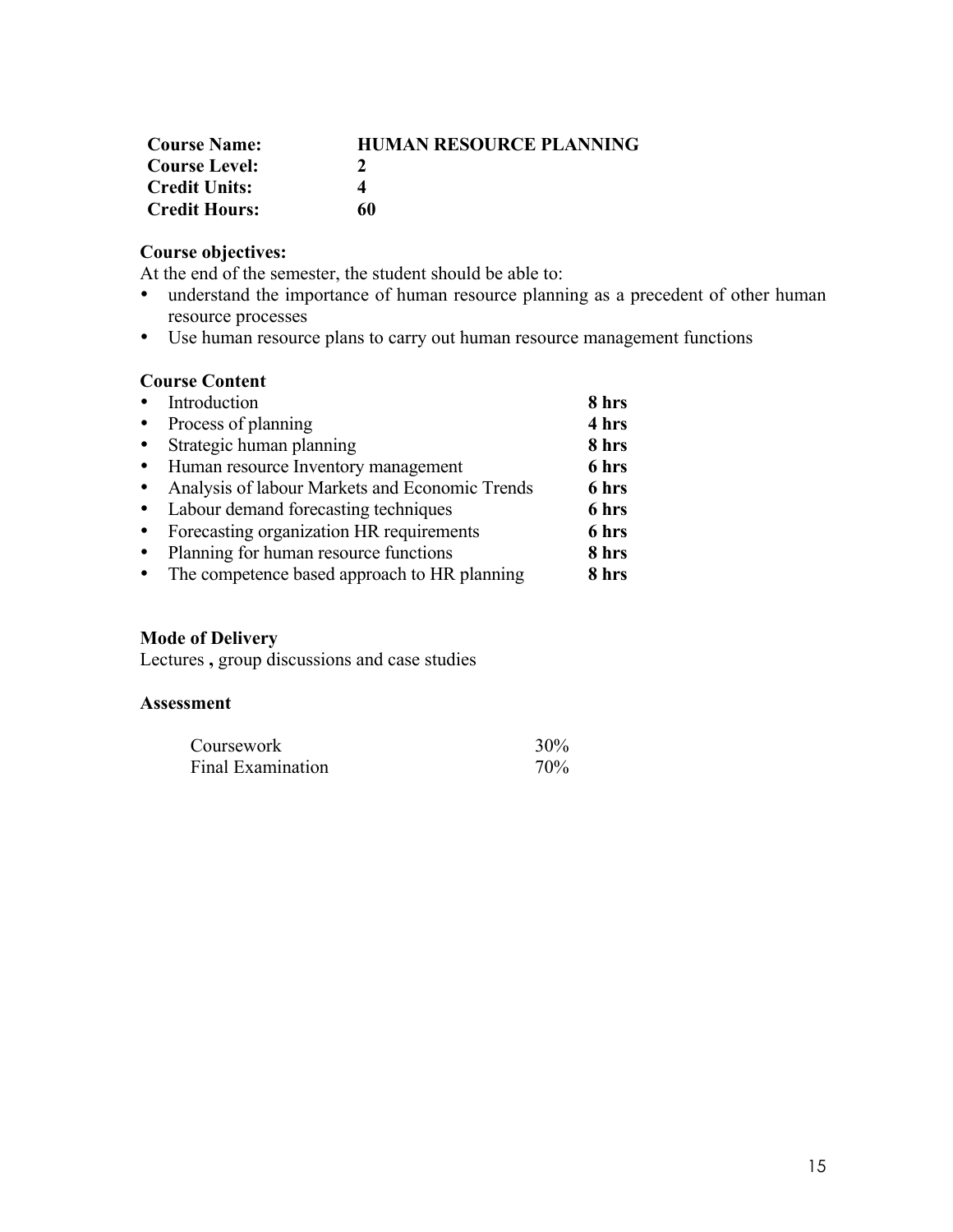| <b>Course Name:</b>  | <b>HUMAN RESOURCE PLANNING</b> |
|----------------------|--------------------------------|
| <b>Course Level:</b> |                                |
| <b>Credit Units:</b> | 4                              |
| <b>Credit Hours:</b> | 60                             |

# **Course objectives:**

At the end of the semester, the student should be able to:

- understand the importance of human resource planning as a precedent of other human resource processes
- Use human resource plans to carry out human resource management functions

# **Course Content**

|           | • Introduction                                 | 8 hrs |
|-----------|------------------------------------------------|-------|
| $\bullet$ | Process of planning                            | 4 hrs |
| $\bullet$ | Strategic human planning                       | 8 hrs |
| $\bullet$ | Human resource Inventory management            | 6 hrs |
| $\bullet$ | Analysis of labour Markets and Economic Trends | 6 hrs |
|           | • Labour demand forecasting techniques         | 6 hrs |
|           | Forecasting organization HR requirements       | 6 hrs |
| $\bullet$ | Planning for human resource functions          | 8 hrs |
|           | The competence based approach to HR planning   | 8 hrs |

# **Mode of Delivery**

Lectures **,** group discussions and case studies

| Coursework               | 30% |
|--------------------------|-----|
| <b>Final Examination</b> | 70% |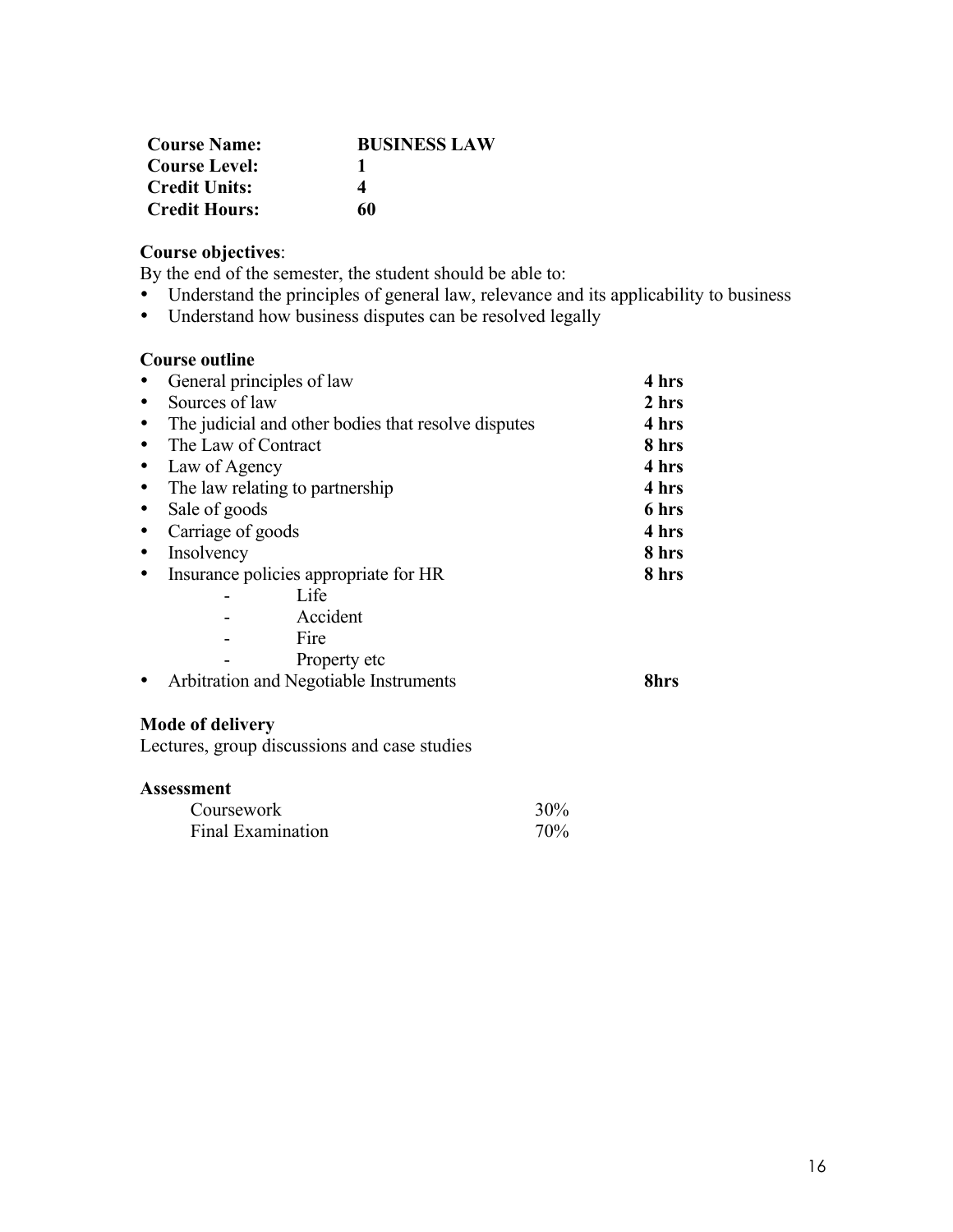| <b>Course Name:</b>  | <b>BUSINESS LAW</b> |
|----------------------|---------------------|
| <b>Course Level:</b> |                     |
| <b>Credit Units:</b> | 4                   |
| <b>Credit Hours:</b> | 60                  |

# **Course objectives**:

By the end of the semester, the student should be able to:

- Understand the principles of general law, relevance and its applicability to business<br>• Understand how business disputes can be resolved legally
- Understand how business disputes can be resolved legally

#### **Course outline**

| General principles of law                           | 4 hrs |
|-----------------------------------------------------|-------|
| Sources of law                                      | 2 hrs |
| The judicial and other bodies that resolve disputes | 4 hrs |
| The Law of Contract                                 | 8 hrs |
| Law of Agency                                       | 4 hrs |
| The law relating to partnership<br>$\bullet$        | 4 hrs |
| Sale of goods                                       | 6 hrs |
| Carriage of goods                                   | 4 hrs |
| Insolvency                                          | 8 hrs |
| Insurance policies appropriate for HR               | 8 hrs |
| Life                                                |       |
| Accident                                            |       |
| Fire                                                |       |
| Property etc                                        |       |
| Arbitration and Negotiable Instruments              | 8hrs  |
| <b>Mode of delivery</b>                             |       |
| Lectures, group discussions and case studies        |       |
| <b>Assessment</b>                                   |       |
| Coursework                                          | 30%   |

Final Examination 70%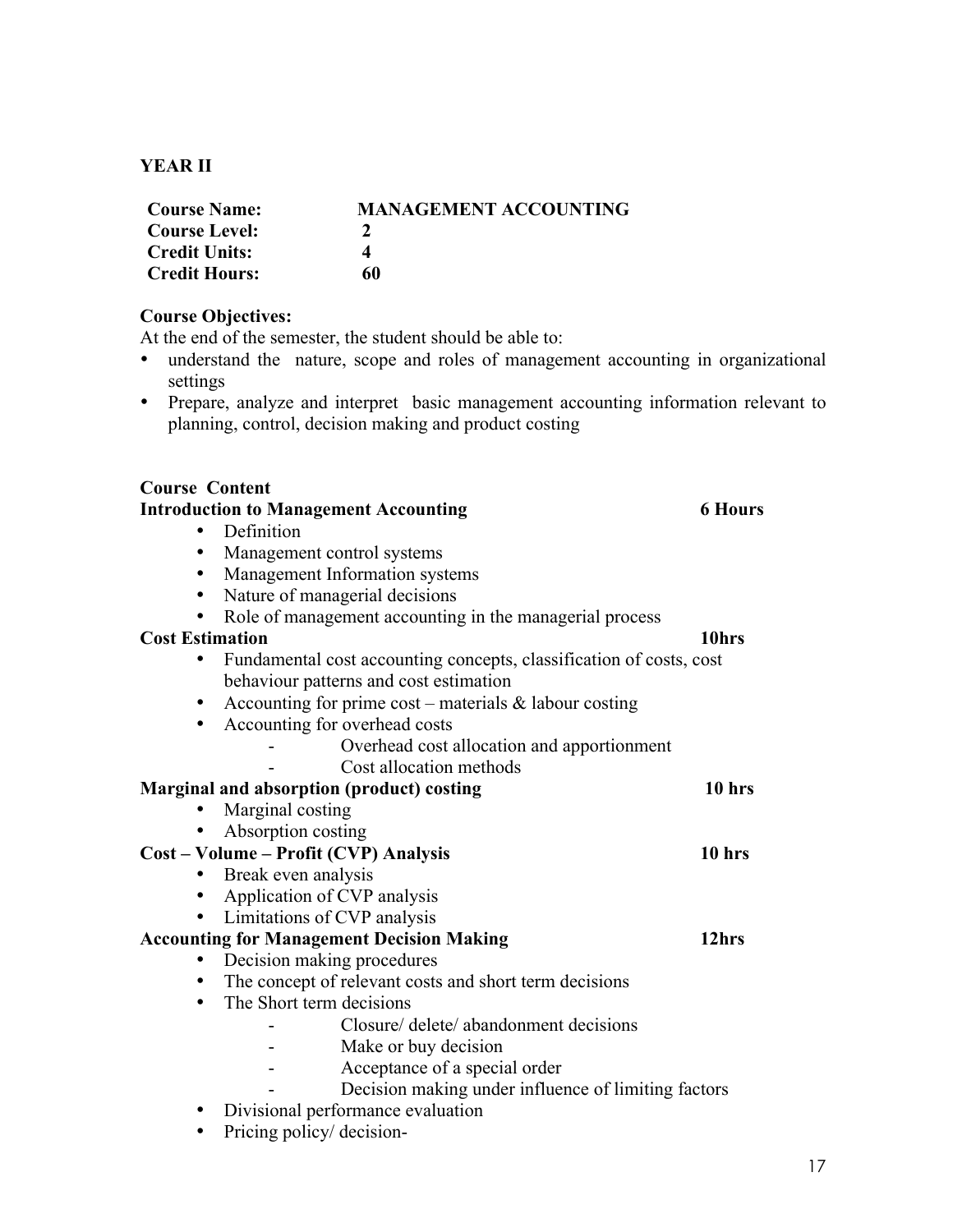# **YEAR II**

| <b>Course Name:</b>  | <b>MANAGEMENT ACCOUNTING</b> |
|----------------------|------------------------------|
| Course Level:        |                              |
| <b>Credit Units:</b> |                              |
| <b>Credit Hours:</b> | 60                           |

# **Course Objectives:**

At the end of the semester, the student should be able to:

- understand the nature, scope and roles of management accounting in organizational settings
- Prepare, analyze and interpret basic management accounting information relevant to planning, control, decision making and product costing

| <b>Course Content</b>                                               |                   |
|---------------------------------------------------------------------|-------------------|
| <b>Introduction to Management Accounting</b>                        | <b>6 Hours</b>    |
| Definition                                                          |                   |
| Management control systems<br>٠                                     |                   |
| Management Information systems<br>$\bullet$                         |                   |
| Nature of managerial decisions<br>$\bullet$                         |                   |
| Role of management accounting in the managerial process<br>٠        |                   |
| <b>Cost Estimation</b>                                              | 10hrs             |
| Fundamental cost accounting concepts, classification of costs, cost |                   |
| behaviour patterns and cost estimation                              |                   |
| Accounting for prime $cost$ – materials & labour costing            |                   |
| Accounting for overhead costs<br>$\bullet$                          |                   |
| Overhead cost allocation and apportionment                          |                   |
| Cost allocation methods                                             |                   |
| Marginal and absorption (product) costing                           | $10$ hrs          |
| Marginal costing                                                    |                   |
| Absorption costing                                                  |                   |
| Cost - Volume - Profit (CVP) Analysis                               | 10 <sub>hrs</sub> |
| Break even analysis<br>$\bullet$                                    |                   |
| Application of CVP analysis<br>$\bullet$                            |                   |
| Limitations of CVP analysis<br>$\bullet$                            |                   |
| <b>Accounting for Management Decision Making</b>                    | 12hrs             |
| Decision making procedures<br>$\bullet$                             |                   |
| The concept of relevant costs and short term decisions              |                   |
| The Short term decisions<br>$\bullet$                               |                   |
| Closure/ delete/ abandonment decisions                              |                   |
| Make or buy decision                                                |                   |
| Acceptance of a special order                                       |                   |
| Decision making under influence of limiting factors                 |                   |
| Divisional performance evaluation                                   |                   |
|                                                                     |                   |

• Pricing policy/ decision-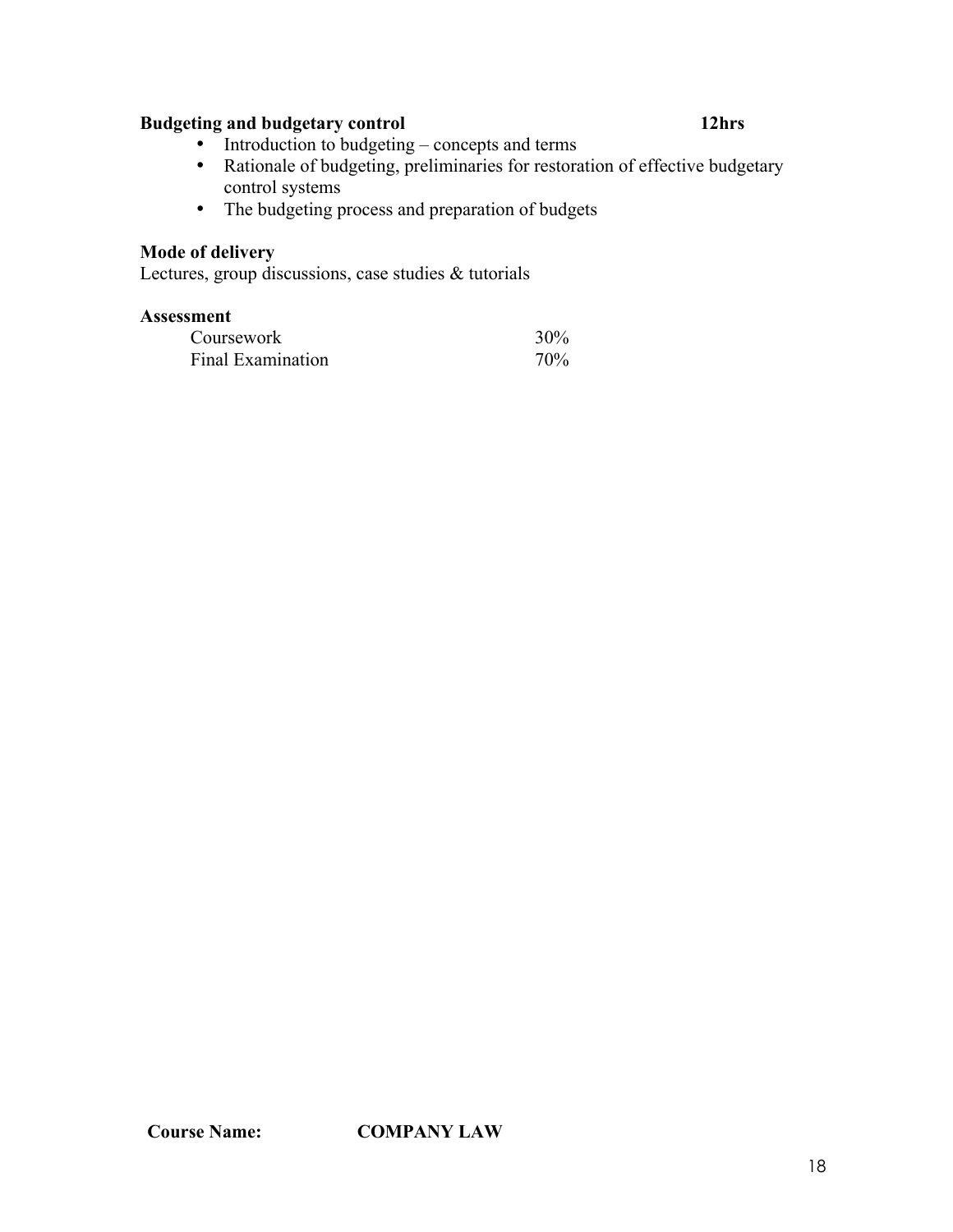# **Budgeting and budgetary control 12hrs**

- Introduction to budgeting concepts and terms
- Rationale of budgeting, preliminaries for restoration of effective budgetary control systems
- The budgeting process and preparation of budgets

# **Mode of delivery**

Lectures, group discussions, case studies & tutorials

| Coursework        | 30% |
|-------------------|-----|
| Final Examination | 70% |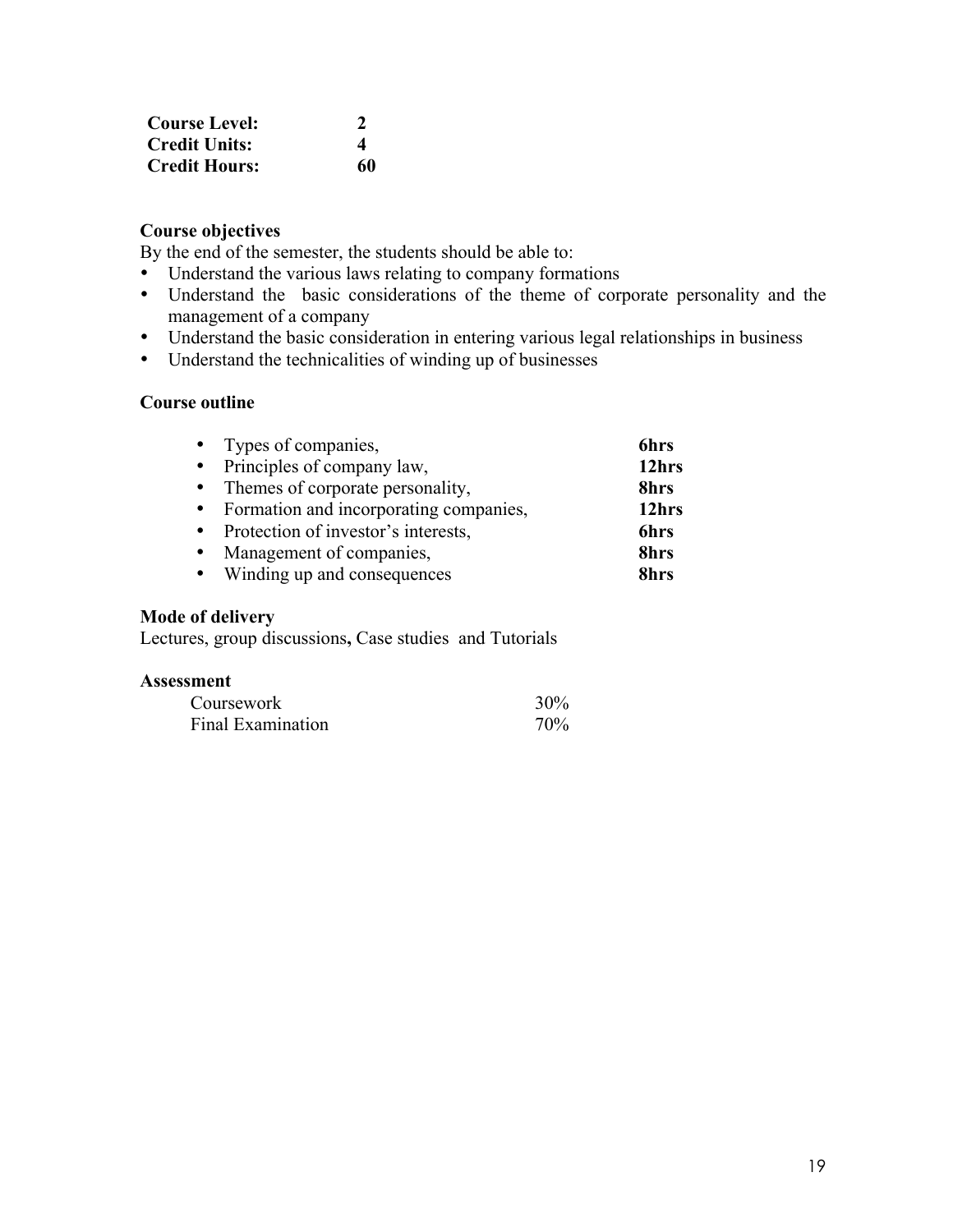| <b>Course Level:</b> |                       |
|----------------------|-----------------------|
| <b>Credit Units:</b> | $\boldsymbol{\Delta}$ |
| <b>Credit Hours:</b> | 60                    |

# **Course objectives**

By the end of the semester, the students should be able to:

- Understand the various laws relating to company formations
- Understand the basic considerations of the theme of corporate personality and the management of a company
- Understand the basic consideration in entering various legal relationships in business
- Understand the technicalities of winding up of businesses

# **Course outline**

| • Types of companies,                    | 6hrs  |
|------------------------------------------|-------|
| • Principles of company law,             | 12hrs |
| • Themes of corporate personality,       | 8hrs  |
| • Formation and incorporating companies, | 12hrs |
| • Protection of investor's interests,    | 6hrs  |
| • Management of companies,               | 8hrs  |
| • Winding up and consequences            | 8hrs  |

### **Mode of delivery**

Lectures, group discussions**,** Case studies and Tutorials

| Coursework        | 30% |
|-------------------|-----|
| Final Examination | 70% |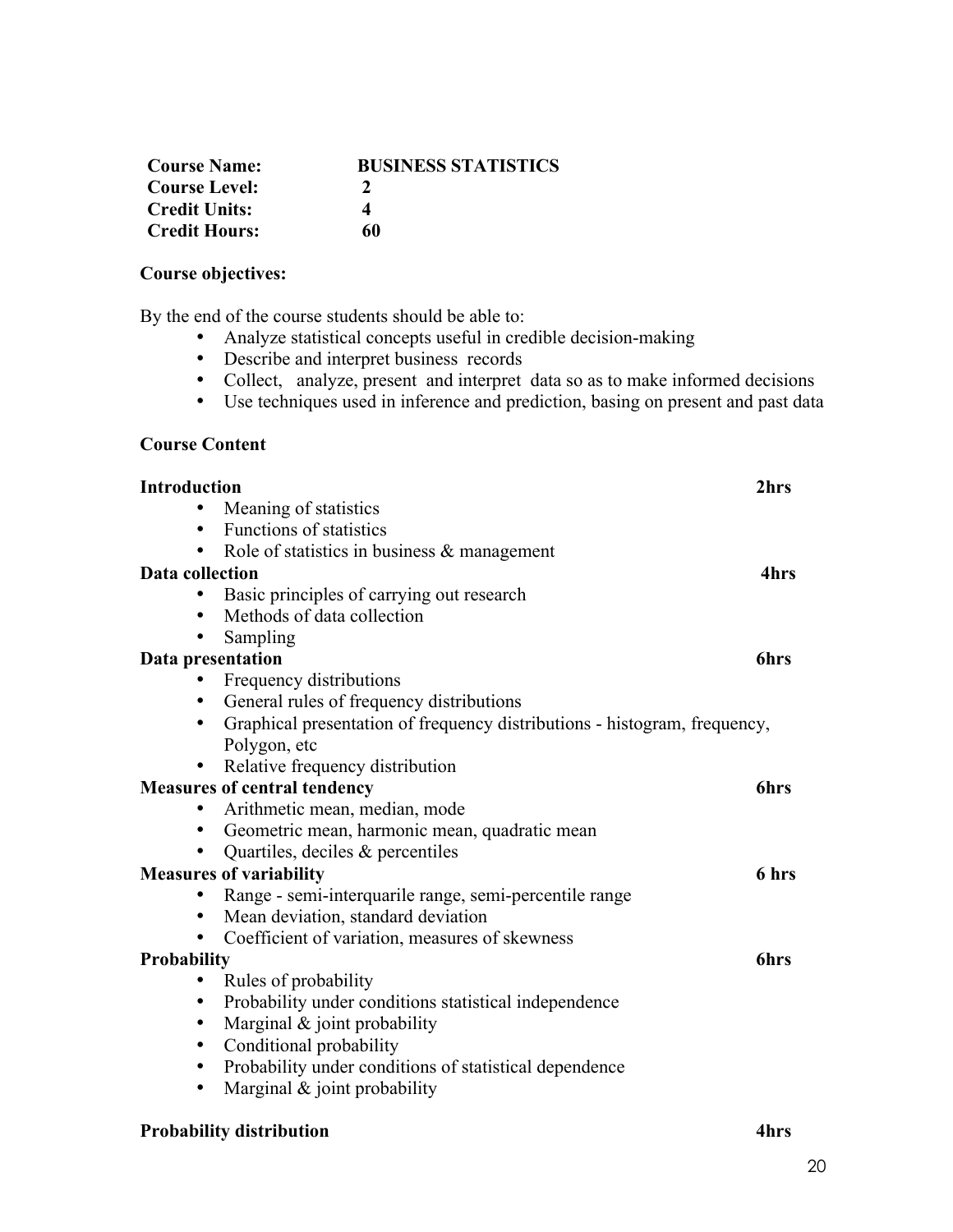| <b>Course Name:</b>  | <b>BUSINESS STATISTICS</b> |
|----------------------|----------------------------|
| <b>Course Level:</b> |                            |
| <b>Credit Units:</b> | 4                          |
| <b>Credit Hours:</b> | 60                         |

# **Course objectives:**

By the end of the course students should be able to:

- Analyze statistical concepts useful in credible decision-making
- Describe and interpret business records
- Collect, analyze, present and interpret data so as to make informed decisions
- Use techniques used in inference and prediction, basing on present and past data

### **Course Content**

| <b>Introduction</b>                                                            | 2hrs  |
|--------------------------------------------------------------------------------|-------|
| Meaning of statistics                                                          |       |
| <b>Functions of statistics</b>                                                 |       |
| • Role of statistics in business $\&$ management                               |       |
| <b>Data collection</b>                                                         | 4hrs  |
| Basic principles of carrying out research                                      |       |
| Methods of data collection                                                     |       |
| Sampling                                                                       |       |
| Data presentation                                                              | 6hrs  |
| Frequency distributions                                                        |       |
| General rules of frequency distributions<br>$\bullet$                          |       |
| Graphical presentation of frequency distributions - histogram, frequency,<br>٠ |       |
| Polygon, etc                                                                   |       |
| Relative frequency distribution                                                |       |
| <b>Measures of central tendency</b>                                            | 6hrs  |
| Arithmetic mean, median, mode                                                  |       |
| Geometric mean, harmonic mean, quadratic mean                                  |       |
| Quartiles, deciles $\&$ percentiles                                            |       |
| <b>Measures of variability</b>                                                 | 6 hrs |
| Range - semi-interquarile range, semi-percentile range                         |       |
| Mean deviation, standard deviation                                             |       |
| Coefficient of variation, measures of skewness                                 |       |
| Probability                                                                    | 6hrs  |
| Rules of probability                                                           |       |
| Probability under conditions statistical independence<br>٠                     |       |
| Marginal $& joint probability$<br>$\bullet$                                    |       |
| Conditional probability<br>٠                                                   |       |
| Probability under conditions of statistical dependence<br>$\bullet$            |       |
| Marginal & joint probability<br>$\bullet$                                      |       |
|                                                                                |       |

# **Probability distribution 4hrs**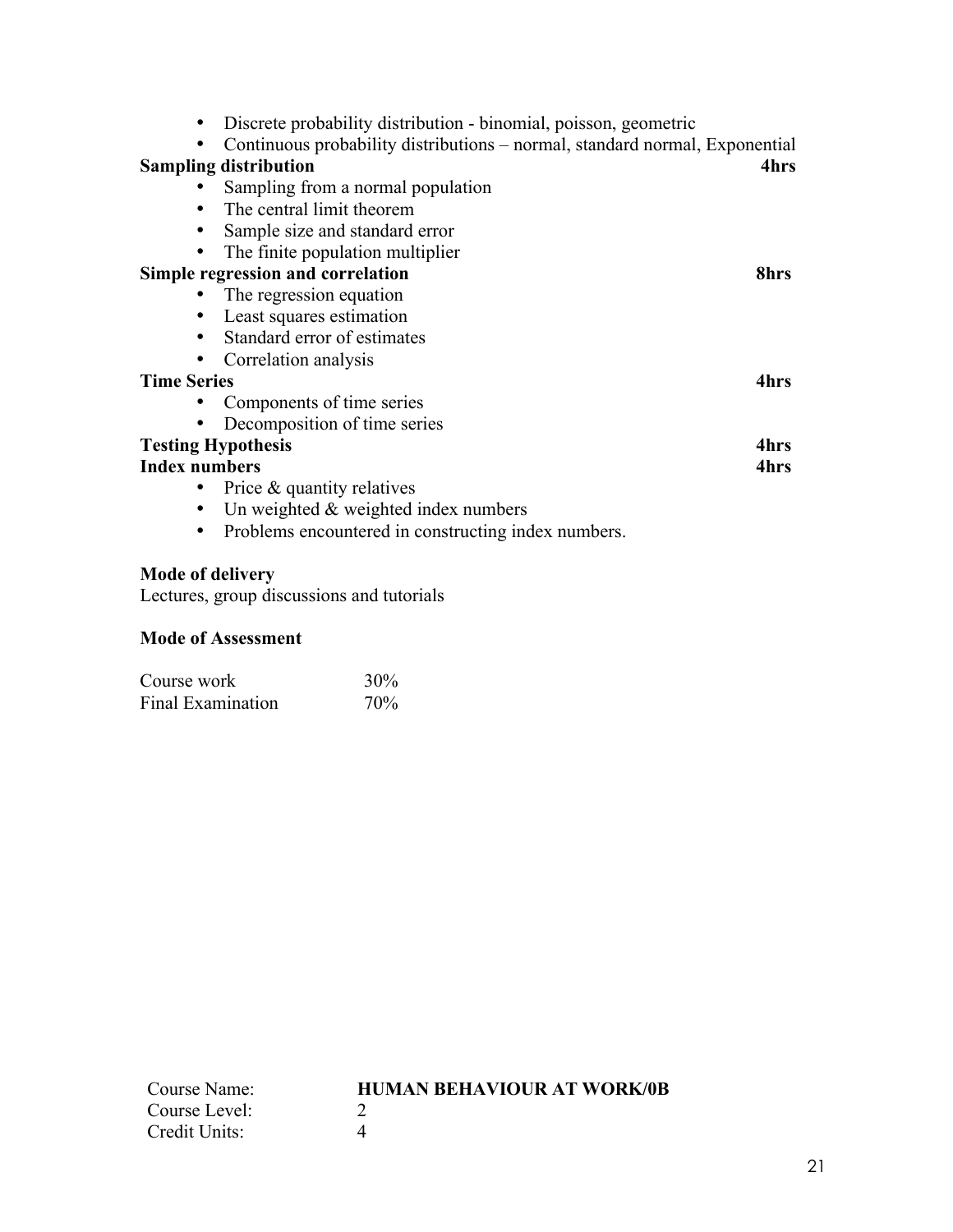| Discrete probability distribution - binomial, poisson, geometric            |      |
|-----------------------------------------------------------------------------|------|
| Continuous probability distributions - normal, standard normal, Exponential |      |
| <b>Sampling distribution</b>                                                | 4hrs |
| Sampling from a normal population                                           |      |
| The central limit theorem<br>٠                                              |      |
| Sample size and standard error<br>٠                                         |      |
| The finite population multiplier                                            |      |
| <b>Simple regression and correlation</b>                                    | 8hrs |
| The regression equation                                                     |      |
| Least squares estimation                                                    |      |
| Standard error of estimates                                                 |      |
| Correlation analysis                                                        |      |
| <b>Time Series</b>                                                          | 4hrs |
| Components of time series                                                   |      |
| Decomposition of time series                                                |      |
| <b>Testing Hypothesis</b>                                                   | 4hrs |
| <b>Index numbers</b>                                                        | 4hrs |
| Price & quantity relatives                                                  |      |
| Un weighted $\&$ weighted index numbers                                     |      |
| Problems encountered in constructing index numbers.                         |      |

# **Mode of delivery**

Lectures, group discussions and tutorials

# **Mode of Assessment**

| Course work       | 30%             |
|-------------------|-----------------|
| Final Examination | 70 <sub>%</sub> |

| Course Name:  | <b>HUMAN BEHAVIOUR AT WORK/0B</b> |
|---------------|-----------------------------------|
| Course Level: |                                   |
| Credit Units: |                                   |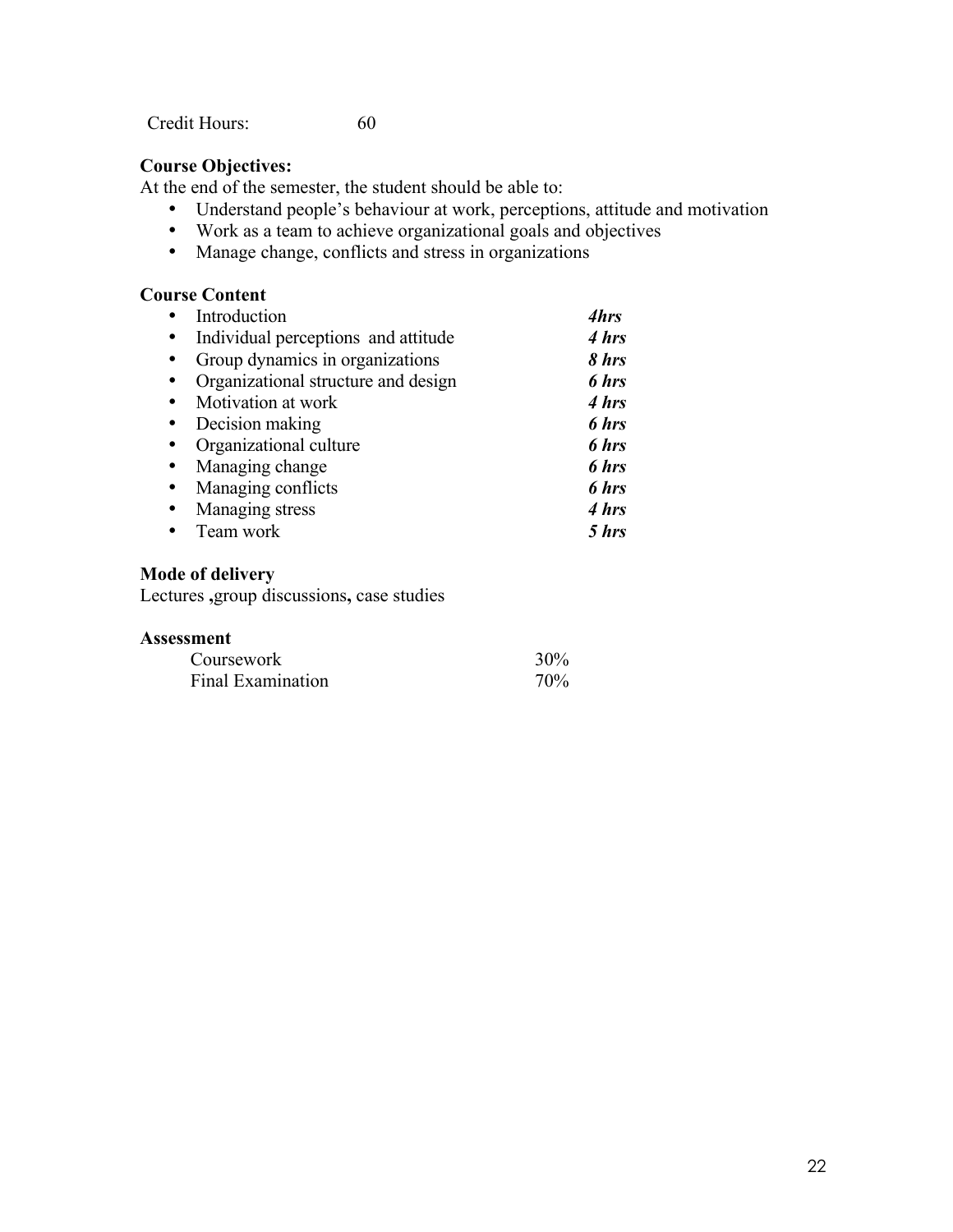Credit Hours: 60

# **Course Objectives:**

At the end of the semester, the student should be able to:

- Understand people's behaviour at work, perceptions, attitude and motivation
- Work as a team to achieve organizational goals and objectives
- Manage change, conflicts and stress in organizations

# **Course Content**

|           | Introduction                        | 4hrs  |
|-----------|-------------------------------------|-------|
| $\bullet$ | Individual perceptions and attitude | 4 hrs |
| $\bullet$ | Group dynamics in organizations     | 8 hrs |
|           | Organizational structure and design | 6 hrs |
|           | Motivation at work                  | 4 hrs |
|           | Decision making                     | 6 hrs |
|           | Organizational culture              | 6 hrs |
| $\bullet$ | Managing change                     | 6 hrs |
| $\bullet$ | Managing conflicts                  | 6 hrs |
| $\bullet$ | Managing stress                     | 4 hrs |
|           | Team work                           | 5 hrs |

# **Mode of delivery**

Lectures **,**group discussions**,** case studies

| Coursework        | 30%             |
|-------------------|-----------------|
| Final Examination | 70 <sub>%</sub> |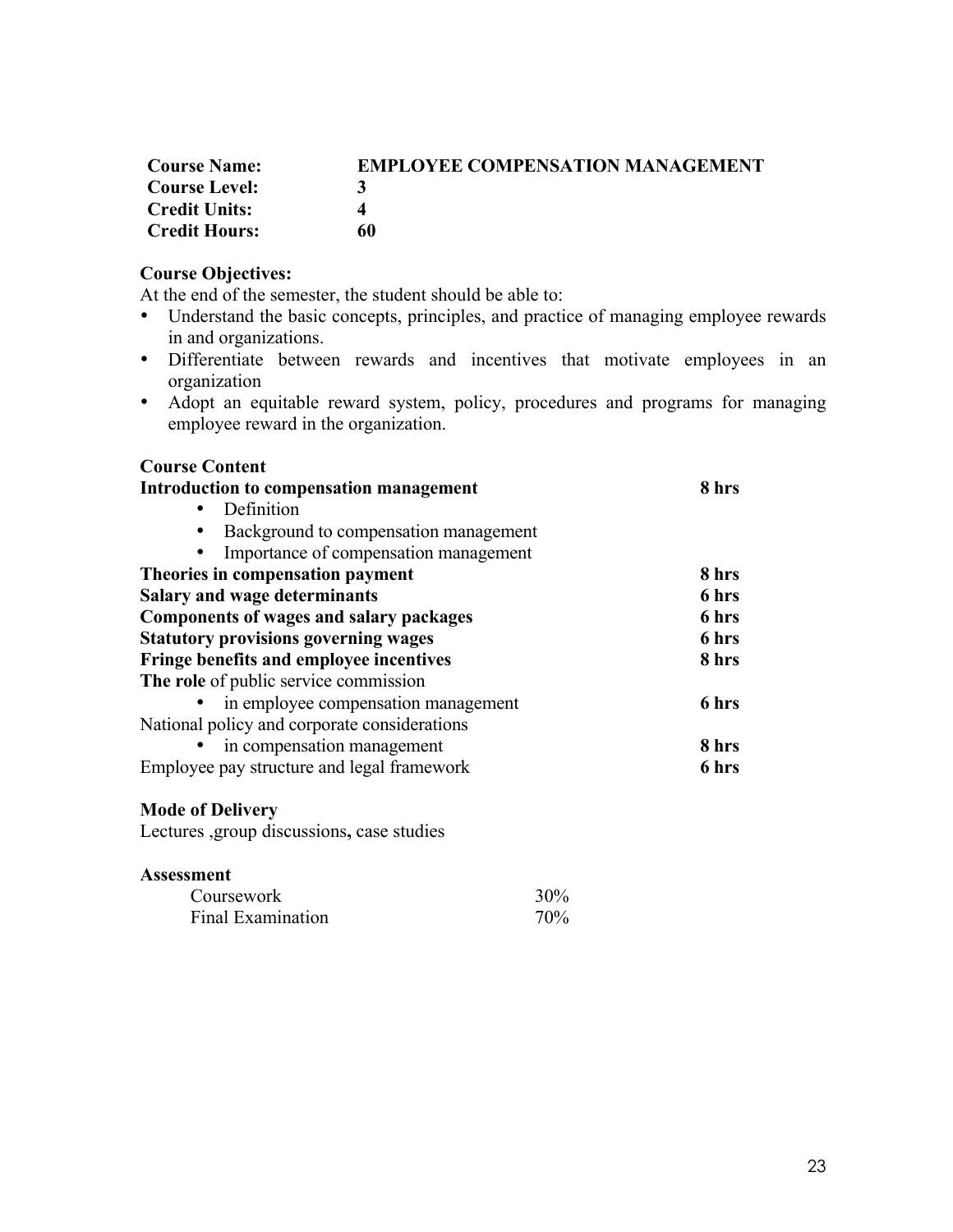| <b>Course Name:</b>  | <b>EMPLOYEE COMPENSATION MANAGEMENT</b> |
|----------------------|-----------------------------------------|
| <b>Course Level:</b> | 3                                       |
| <b>Credit Units:</b> | $\Delta$                                |
| <b>Credit Hours:</b> | 60                                      |

# **Course Objectives:**

At the end of the semester, the student should be able to:

- Understand the basic concepts, principles, and practice of managing employee rewards in and organizations.
- Differentiate between rewards and incentives that motivate employees in an organization
- Adopt an equitable reward system, policy, procedures and programs for managing employee reward in the organization.

| <b>Course Content</b>                          |       |
|------------------------------------------------|-------|
| Introduction to compensation management        | 8 hrs |
| Definition<br>$\bullet$                        |       |
| Background to compensation management          |       |
| Importance of compensation management          |       |
| Theories in compensation payment               | 8 hrs |
| <b>Salary and wage determinants</b>            | 6 hrs |
| <b>Components of wages and salary packages</b> | 6 hrs |
| <b>Statutory provisions governing wages</b>    | 6 hrs |
| Fringe benefits and employee incentives        | 8 hrs |
| The role of public service commission          |       |
| in employee compensation management            | 6 hrs |
| National policy and corporate considerations   |       |
| in compensation management                     | 8 hrs |
| Employee pay structure and legal framework     | 6 hrs |

### **Mode of Delivery**

Lectures ,group discussions**,** case studies

| Coursework        | $30\%$ |
|-------------------|--------|
| Final Examination | 70%    |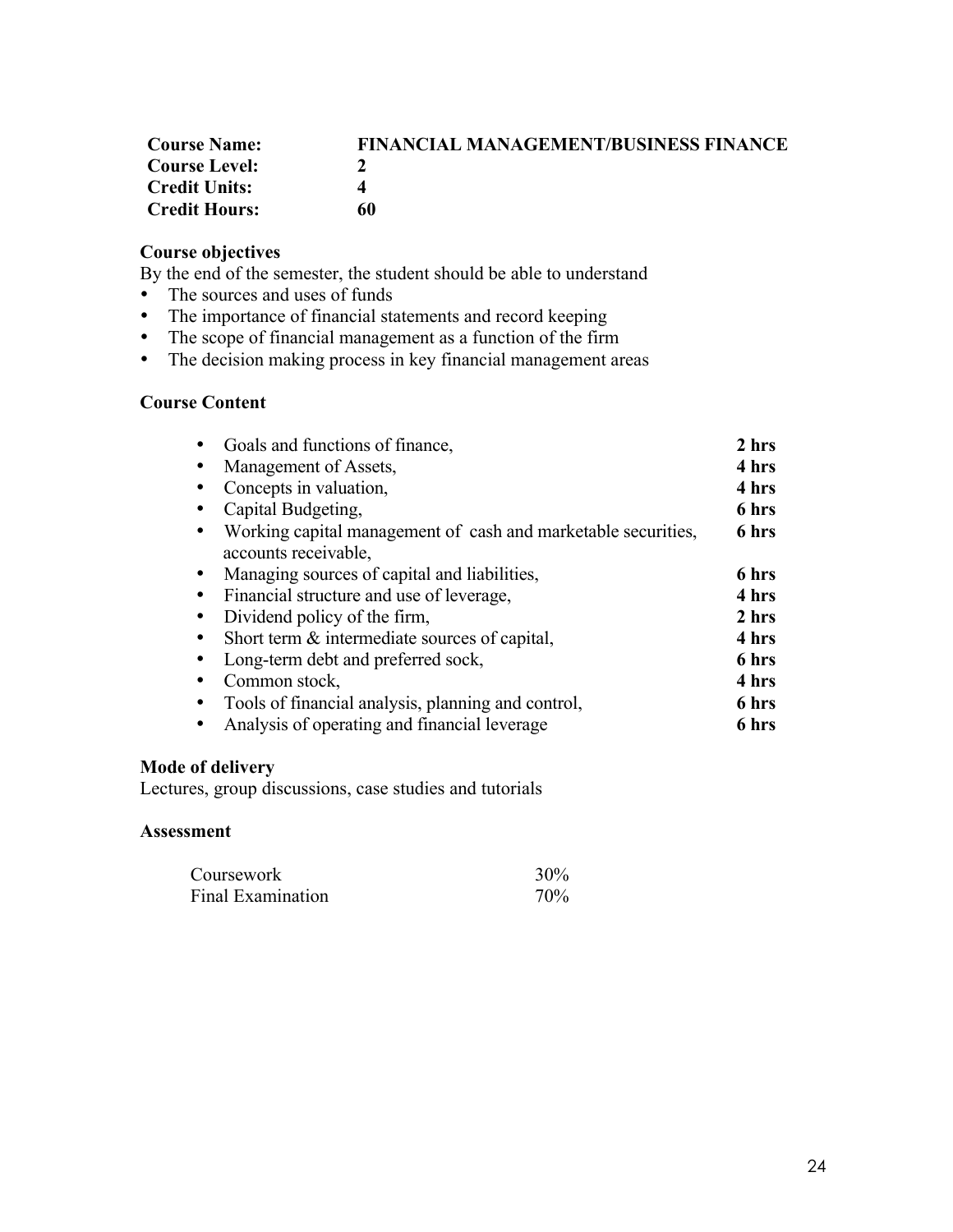| <b>Course Name:</b>  | <b>FINANCIAL MANAGEMENT/BUSINESS FINANCE</b> |
|----------------------|----------------------------------------------|
| <b>Course Level:</b> |                                              |
| <b>Credit Units:</b> |                                              |
| <b>Credit Hours:</b> | 60                                           |

# **Course objectives**

By the end of the semester, the student should be able to understand

- The sources and uses of funds
- The importance of financial statements and record keeping
- The scope of financial management as a function of the firm
- The decision making process in key financial management areas

# **Course Content**

| Goals and functions of finance,                               | 2 hrs |
|---------------------------------------------------------------|-------|
| Management of Assets,                                         | 4 hrs |
| Concepts in valuation,                                        | 4 hrs |
| Capital Budgeting,                                            | 6 hrs |
| Working capital management of cash and marketable securities, | 6 hrs |
| accounts receivable.                                          |       |
| Managing sources of capital and liabilities,                  | 6 hrs |
| Financial structure and use of leverage,                      | 4 hrs |
| Dividend policy of the firm,                                  | 2 hrs |
| Short term & intermediate sources of capital,                 | 4 hrs |
| Long-term debt and preferred sock,                            | 6 hrs |
| Common stock,                                                 | 4 hrs |
| Tools of financial analysis, planning and control,            | 6 hrs |
| Analysis of operating and financial leverage                  | 6 hrs |
|                                                               |       |

# **Mode of delivery**

Lectures, group discussions, case studies and tutorials

| Coursework               | $30\%$ |
|--------------------------|--------|
| <b>Final Examination</b> | 70%    |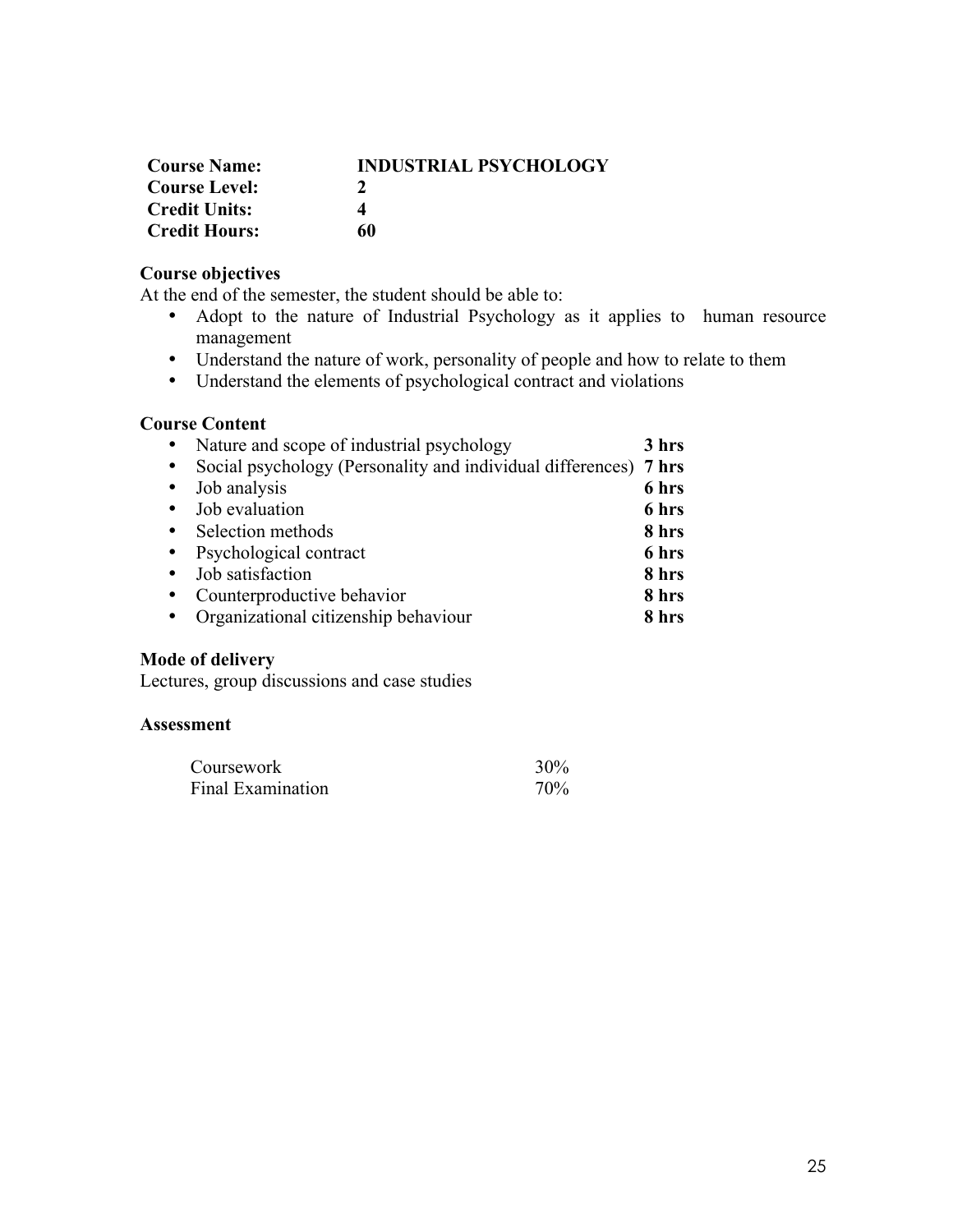| <b>Course Name:</b>  | <b>INDUSTRIAL PSYCHOLOGY</b> |
|----------------------|------------------------------|
| <b>Course Level:</b> |                              |
| <b>Credit Units:</b> |                              |
| <b>Credit Hours:</b> | 60                           |

# **Course objectives**

At the end of the semester, the student should be able to:

- Adopt to the nature of Industrial Psychology as it applies to human resource management
- Understand the nature of work, personality of people and how to relate to them
- Understand the elements of psychological contract and violations

# **Course Content**

|           | Nature and scope of industrial psychology                        | 3 hrs |
|-----------|------------------------------------------------------------------|-------|
| $\bullet$ | Social psychology (Personality and individual differences) 7 hrs |       |
| $\bullet$ | Job analysis                                                     | 6 hrs |
| $\bullet$ | Job evaluation                                                   | 6 hrs |
| $\bullet$ | Selection methods                                                | 8 hrs |
| $\bullet$ | Psychological contract                                           | 6 hrs |
| $\bullet$ | Job satisfaction                                                 | 8 hrs |
| $\bullet$ | Counterproductive behavior                                       | 8 hrs |
|           | Organizational citizenship behaviour                             | 8 hrs |

# **Mode of delivery**

Lectures, group discussions and case studies

| Coursework        | 30% |
|-------------------|-----|
| Final Examination | 70% |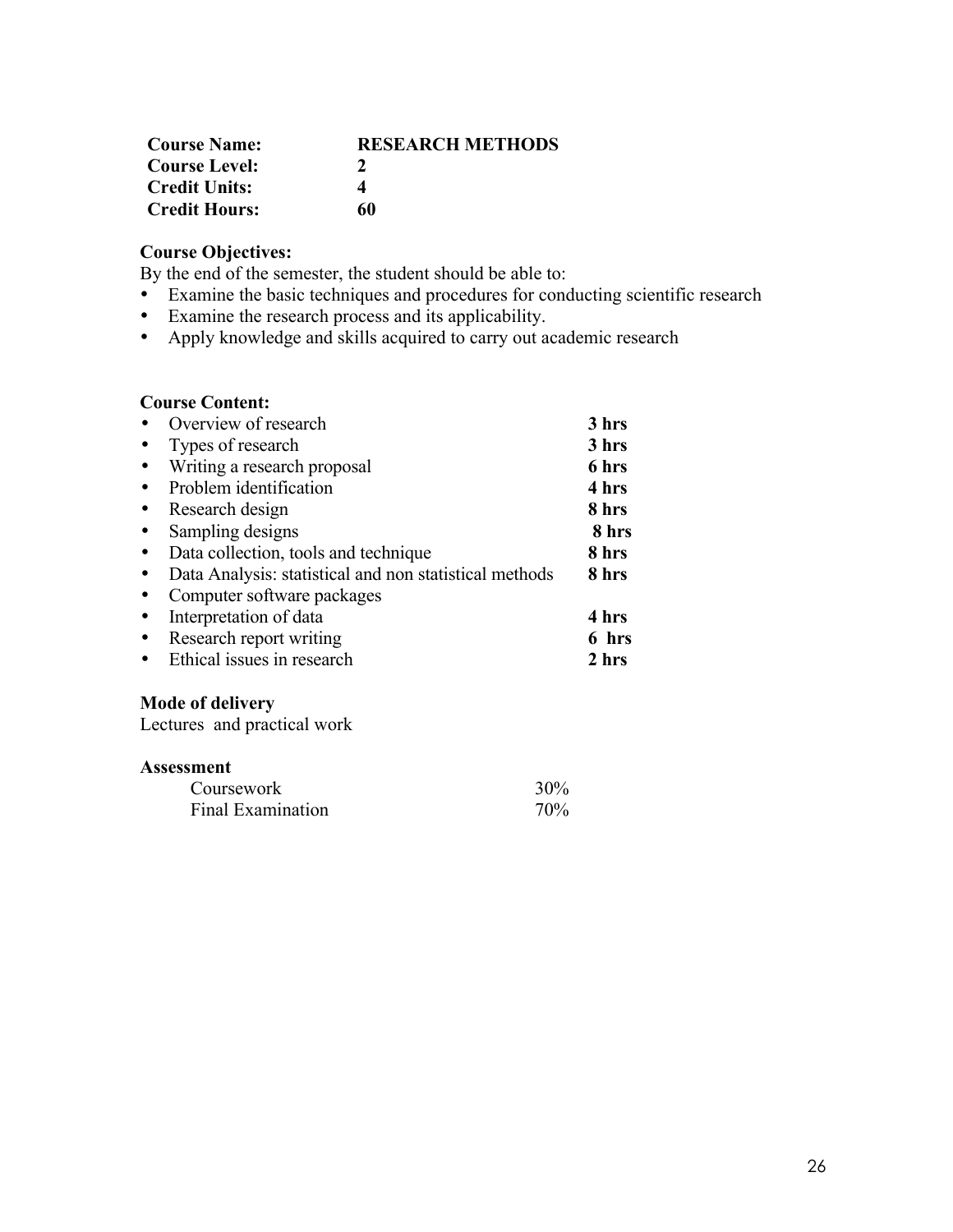| <b>Course Name:</b>  | <b>RESEARCH METHODS</b> |
|----------------------|-------------------------|
| <b>Course Level:</b> | $\mathcal{L}$           |
| <b>Credit Units:</b> |                         |
| <b>Credit Hours:</b> | 60                      |

# **Course Objectives:**

By the end of the semester, the student should be able to:

- Examine the basic techniques and procedures for conducting scientific research<br>• Examine the research process and its applicability.
- Examine the research process and its applicability.
- Apply knowledge and skills acquired to carry out academic research

# **Course Content:**

|           | Overview of research                                   | 3 hrs |
|-----------|--------------------------------------------------------|-------|
|           | Types of research                                      | 3 hrs |
|           | Writing a research proposal                            | 6 hrs |
|           | Problem identification                                 | 4 hrs |
|           | Research design                                        | 8 hrs |
|           | Sampling designs                                       | 8 hrs |
| $\bullet$ | Data collection, tools and technique                   | 8 hrs |
|           | Data Analysis: statistical and non statistical methods | 8 hrs |
|           | Computer software packages                             |       |
|           | Interpretation of data                                 | 4 hrs |
|           | Research report writing                                | 6 hrs |
|           | Ethical issues in research                             | 2 hrs |

# **Mode of delivery**

Lectures and practical work

| Coursework        | 30% |
|-------------------|-----|
| Final Examination | 70% |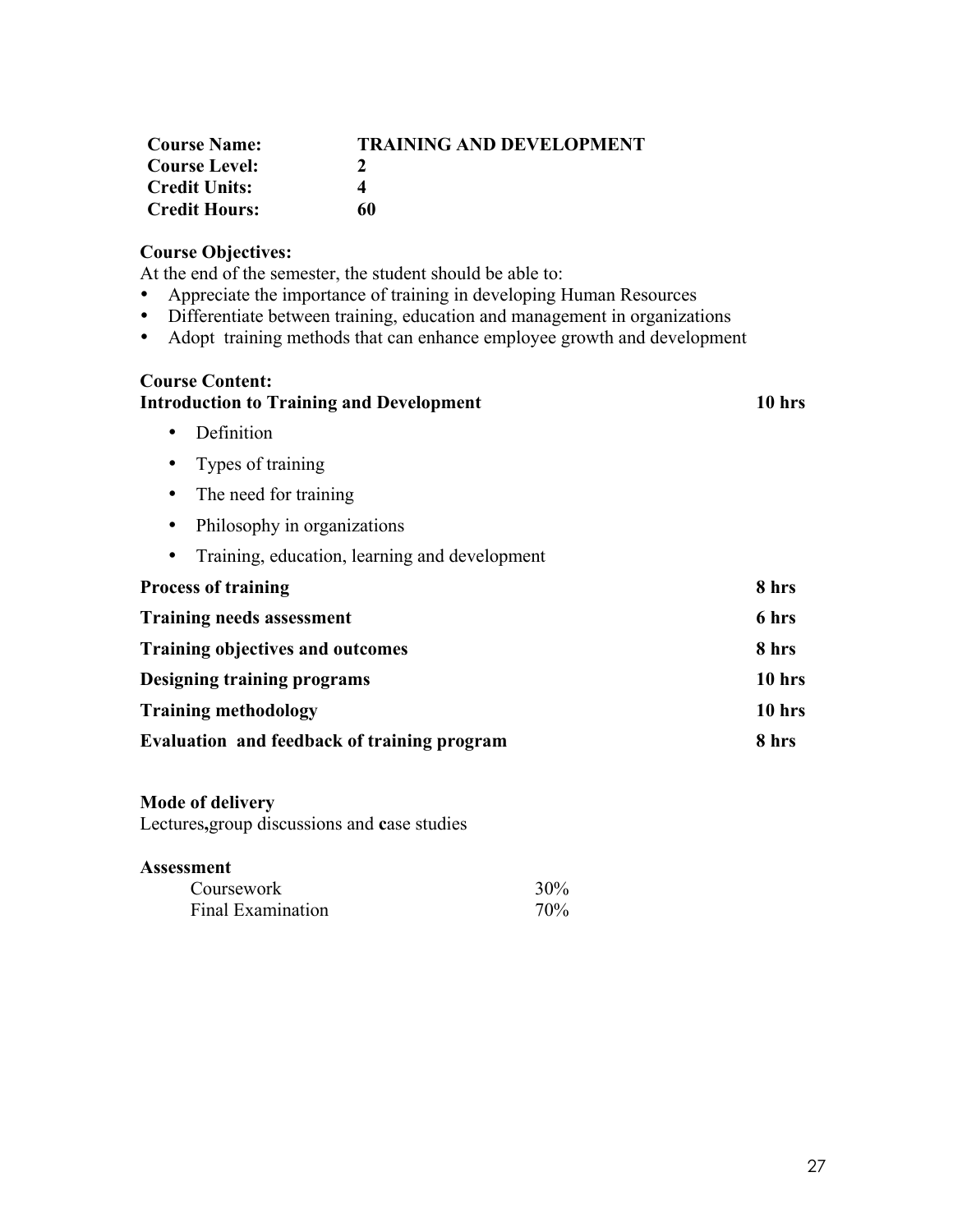| <b>Course Name:</b>  | <b>TRAINING AND DEVELOPMENT</b> |
|----------------------|---------------------------------|
| Course Level:        |                                 |
| <b>Credit Units:</b> | Δ                               |
| <b>Credit Hours:</b> | 60                              |

# **Course Objectives:**

At the end of the semester, the student should be able to:

- Appreciate the importance of training in developing Human Resources
- Differentiate between training, education and management in organizations<br>• Adopt training methods that can enhance employee growth and development
- Adopt training methods that can enhance employee growth and development

# **Course Content:**

# **Introduction to Training and Development 10 hrs** • Definition • Types of training • The need for training • Philosophy in organizations • Training, education, learning and development **Process of training 8 hrs Training needs assessment 6 hrs Training objectives and outcomes 8 hrs Designing training programs 10 hrs Training methodology 10 hrs Evaluation and feedback of training program 8 hrs**

### **Mode of delivery**

Lectures**,**group discussions and **c**ase studies

| Coursework        | $30\%$ |
|-------------------|--------|
| Final Examination | 70%    |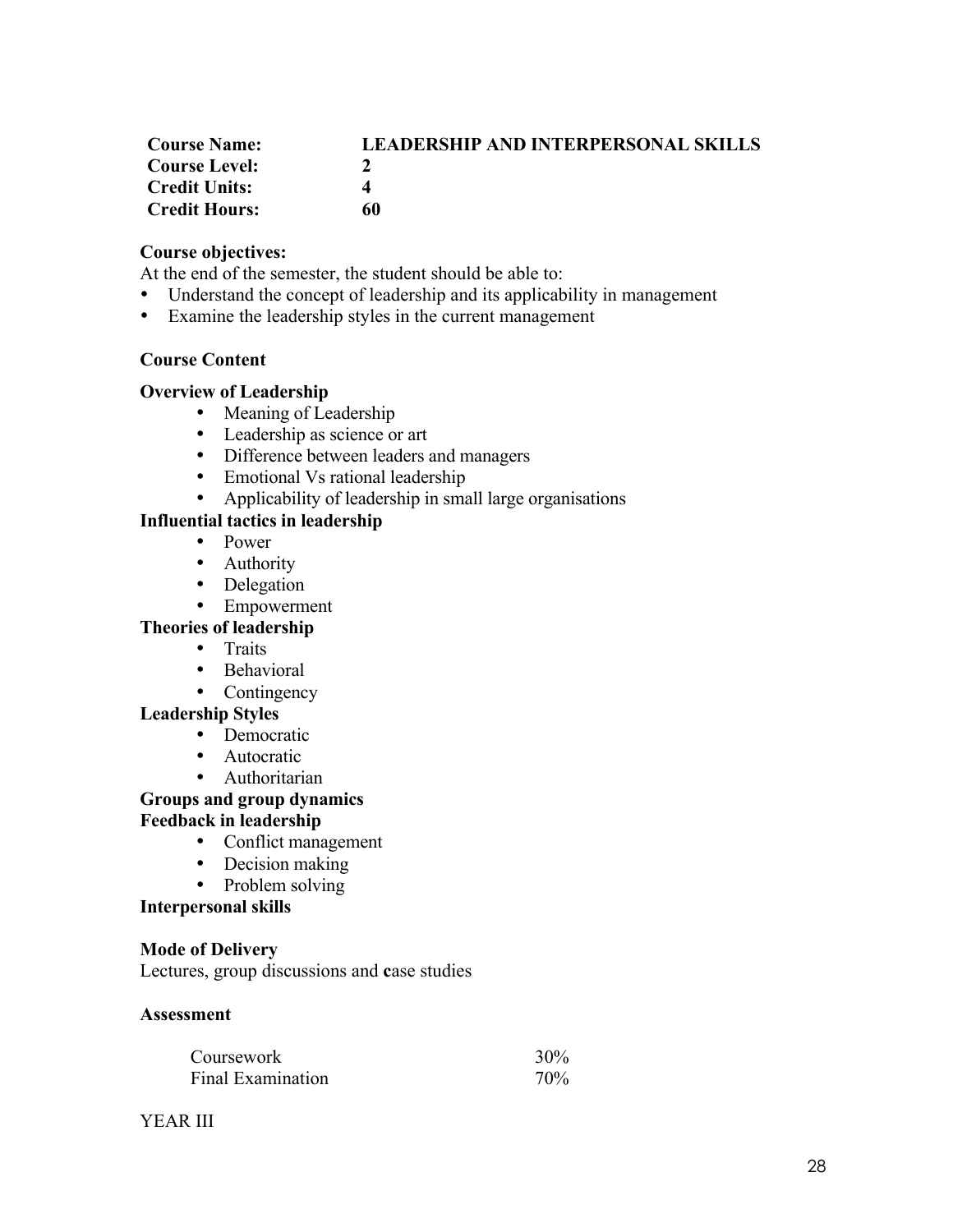| <b>Course Name:</b>  | <b>LEADERSHIP AND INTERPERSONAL SKILLS</b> |
|----------------------|--------------------------------------------|
| <b>Course Level:</b> |                                            |
| <b>Credit Units:</b> | 4                                          |
| <b>Credit Hours:</b> | 60                                         |

# **Course objectives:**

At the end of the semester, the student should be able to:

- Understand the concept of leadership and its applicability in management
- Examine the leadership styles in the current management

# **Course Content**

# **Overview of Leadership**

- Meaning of Leadership
- Leadership as science or art
- Difference between leaders and managers
- Emotional Vs rational leadership
- Applicability of leadership in small large organisations

# **Influential tactics in leadership**

- Power
- Authority
- Delegation
- Empowerment

## **Theories of leadership**

- Traits
- Behavioral
- Contingency

# **Leadership Styles**

- Democratic
- Autocratic
- Authoritarian

# **Groups and group dynamics**

# **Feedback in leadership**

- Conflict management
- Decision making
- Problem solving

### **Interpersonal skills**

### **Mode of Delivery**

Lectures, group discussions and **c**ase studies

| Coursework               | 30% |
|--------------------------|-----|
| <b>Final Examination</b> | 70% |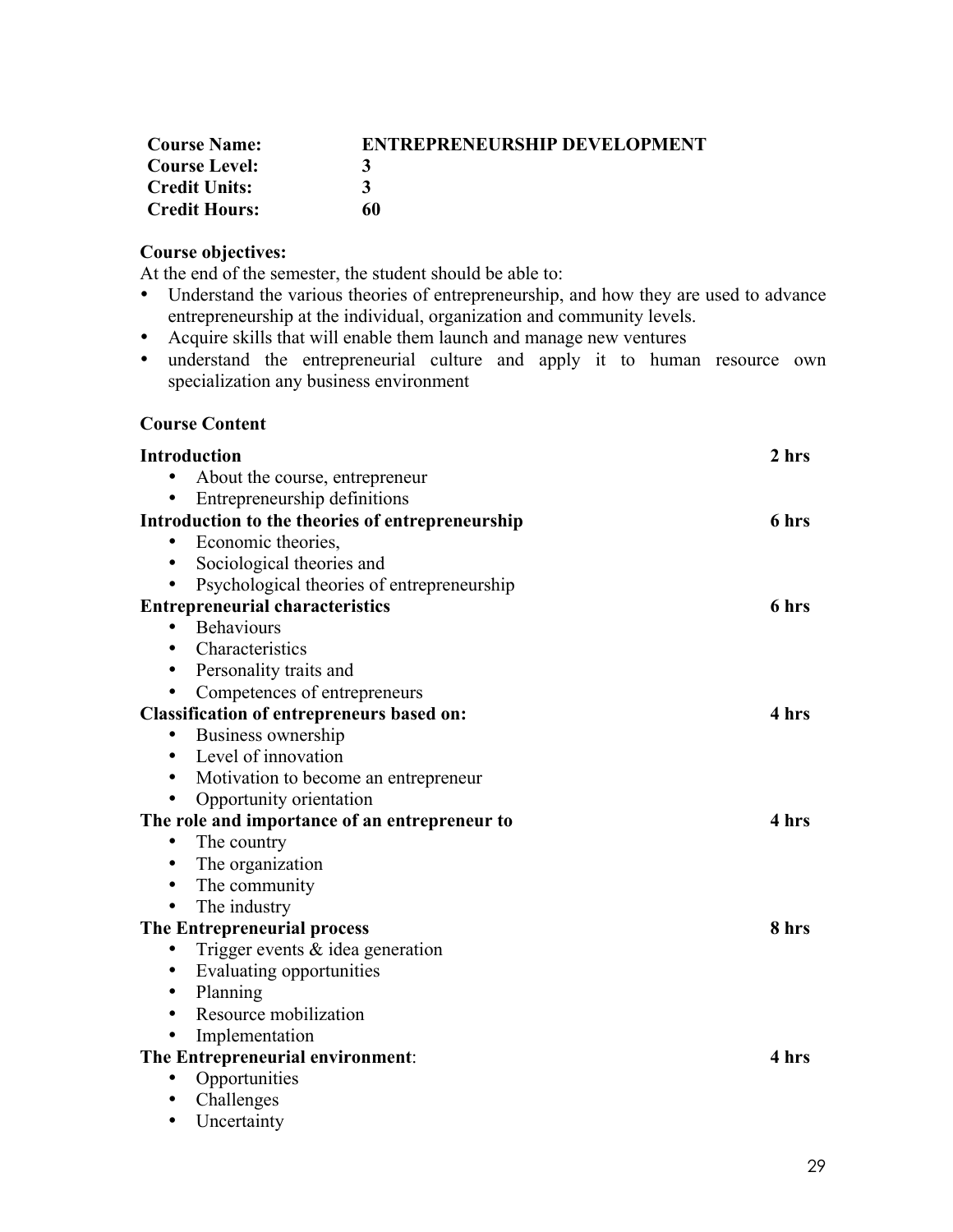| <b>Course Name:</b>  | <b>ENTREPRENEURSHIP DEVELOPMENT</b> |
|----------------------|-------------------------------------|
| <b>Course Level:</b> |                                     |
| <b>Credit Units:</b> |                                     |
| <b>Credit Hours:</b> | 60                                  |

# **Course objectives:**

At the end of the semester, the student should be able to:

- Understand the various theories of entrepreneurship, and how they are used to advance entrepreneurship at the individual, organization and community levels.
- Acquire skills that will enable them launch and manage new ventures
- understand the entrepreneurial culture and apply it to human resource own specialization any business environment

# **Course Content**

| <b>Introduction</b>                               | 2 hrs |
|---------------------------------------------------|-------|
| About the course, entrepreneur                    |       |
| Entrepreneurship definitions<br>$\bullet$         |       |
| Introduction to the theories of entrepreneurship  | 6 hrs |
| Economic theories,<br>٠                           |       |
| • Sociological theories and                       |       |
| Psychological theories of entrepreneurship<br>٠   |       |
| <b>Entrepreneurial characteristics</b>            | 6 hrs |
| • Behaviours                                      |       |
| Characteristics<br>$\bullet$                      |       |
| • Personality traits and                          |       |
| Competences of entrepreneurs<br>$\bullet$         |       |
| <b>Classification of entrepreneurs based on:</b>  | 4 hrs |
| Business ownership<br>٠                           |       |
| • Level of innovation                             |       |
| Motivation to become an entrepreneur<br>$\bullet$ |       |
| Opportunity orientation<br>٠                      |       |
| The role and importance of an entrepreneur to     | 4 hrs |
| The country                                       |       |
| The organization<br>$\bullet$                     |       |
| The community<br>٠                                |       |
| The industry<br>٠                                 |       |
| The Entrepreneurial process                       | 8 hrs |
| Trigger events $\&$ idea generation               |       |
| Evaluating opportunities<br>٠                     |       |
| Planning<br>$\bullet$                             |       |
| Resource mobilization<br>$\bullet$                |       |
| Implementation<br>$\bullet$                       |       |
| The Entrepreneurial environment:                  | 4 hrs |
| Opportunities<br>$\bullet$                        |       |
| Challenges<br>٠                                   |       |
| Uncertainty<br>$\bullet$                          |       |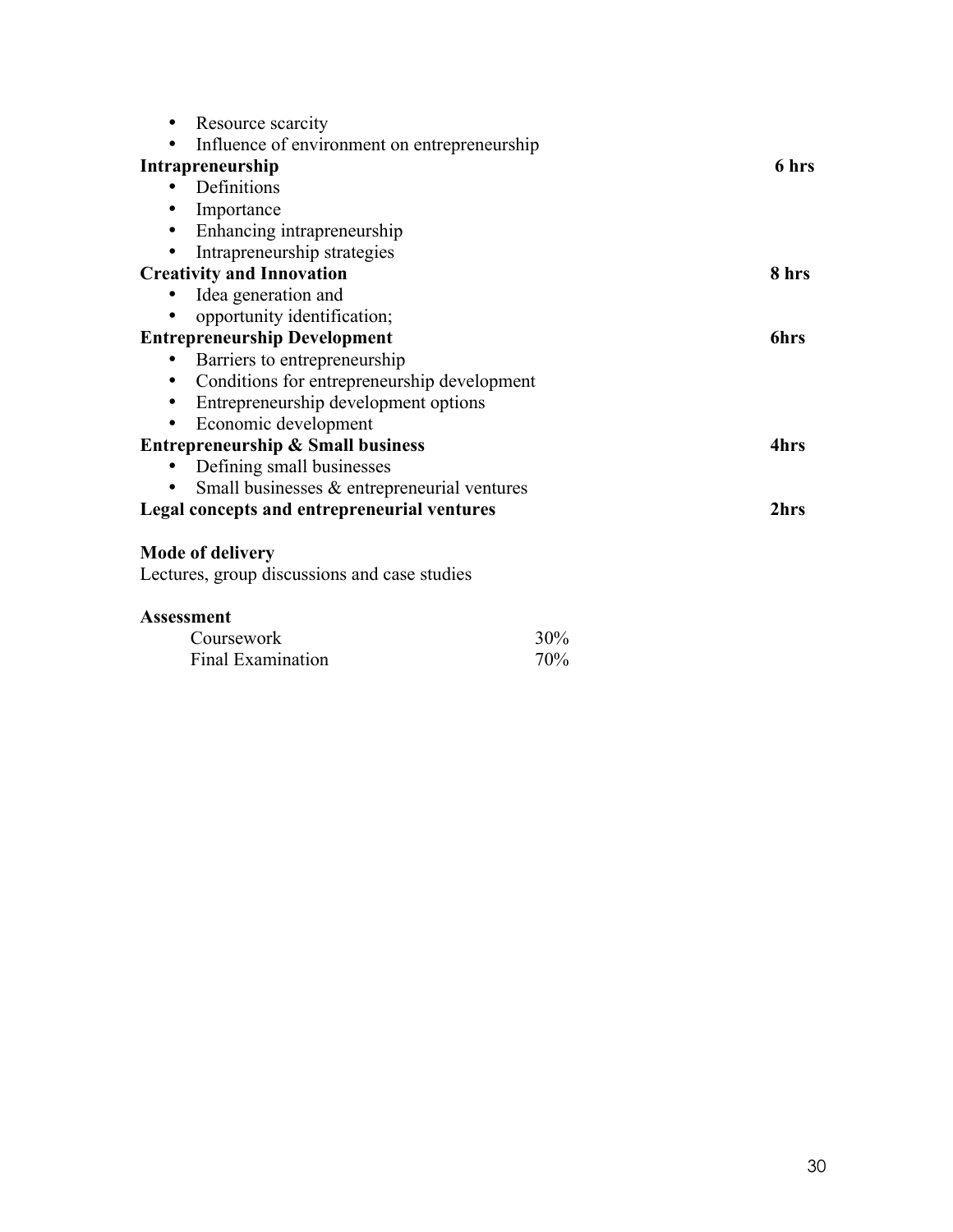| Resource scarcity                                |     |             |
|--------------------------------------------------|-----|-------------|
| Influence of environment on entrepreneurship     |     |             |
| Intrapreneurship                                 |     | 6 hrs       |
| Definitions                                      |     |             |
| Importance<br>٠                                  |     |             |
| Enhancing intrapreneurship<br>$\bullet$          |     |             |
| Intrapreneurship strategies<br>٠                 |     |             |
| <b>Creativity and Innovation</b>                 |     | 8 hrs       |
| Idea generation and                              |     |             |
| opportunity identification;                      |     |             |
| <b>Entrepreneurship Development</b>              |     | <b>6hrs</b> |
| Barriers to entrepreneurship                     |     |             |
| Conditions for entrepreneurship development<br>٠ |     |             |
| Entrepreneurship development options<br>٠        |     |             |
| Economic development<br>$\bullet$                |     |             |
| <b>Entrepreneurship &amp; Small business</b>     |     | 4hrs        |
| Defining small businesses                        |     |             |
| Small businesses $\&$ entrepreneurial ventures   |     |             |
| Legal concepts and entrepreneurial ventures      |     | 2hrs        |
| <b>Mode of delivery</b>                          |     |             |
| Lectures, group discussions and case studies     |     |             |
| <b>Assessment</b>                                |     |             |
| Coursework                                       | 30% |             |
| Final Examination                                | 70% |             |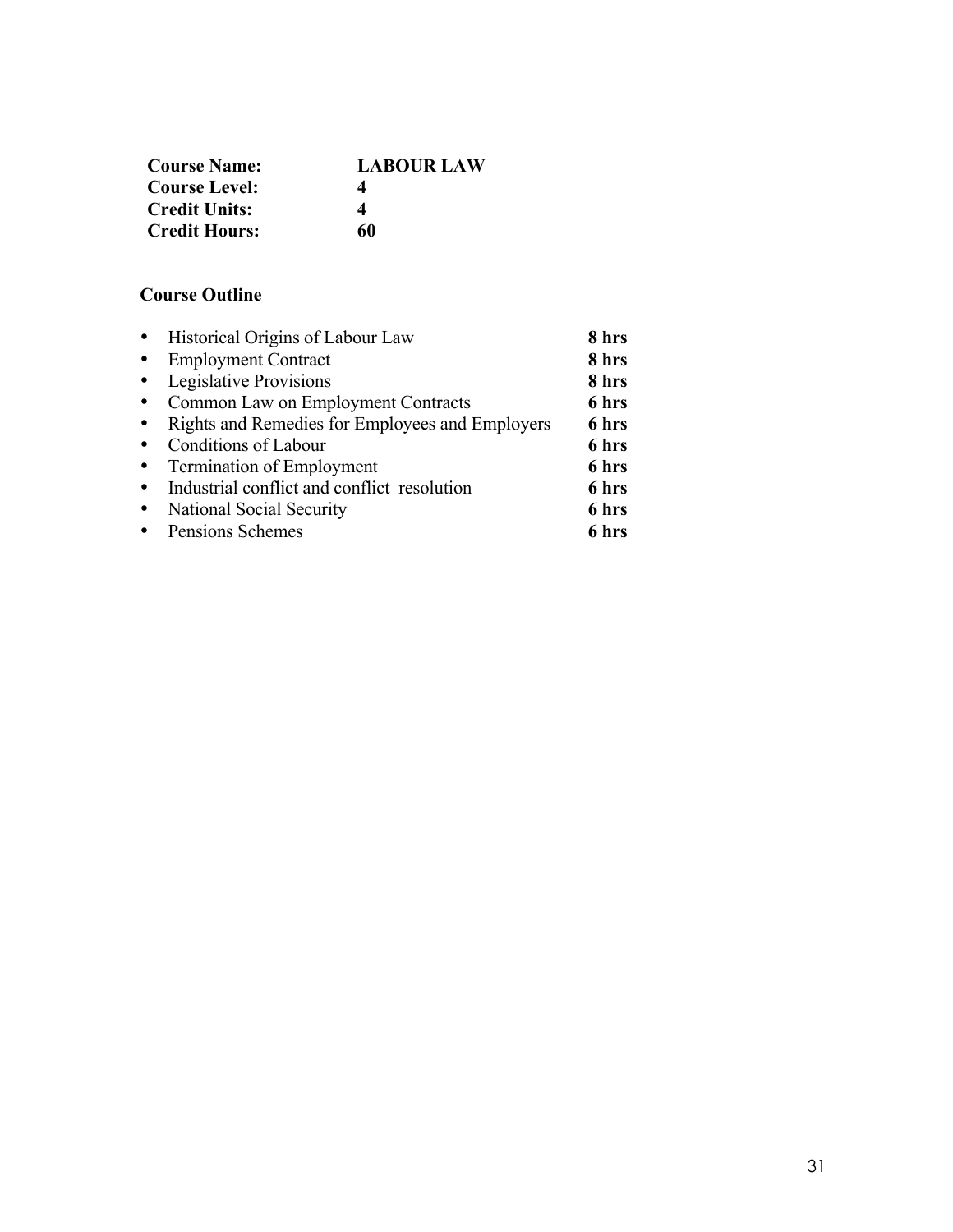| <b>Course Name:</b>  | <b>LABOUR LAW</b> |
|----------------------|-------------------|
| <b>Course Level:</b> | 4                 |
| <b>Credit Units:</b> | 4                 |
| <b>Credit Hours:</b> | 60                |

# **Course Outline**

|           | • Historical Origins of Labour Law              | 8 hrs |
|-----------|-------------------------------------------------|-------|
| $\bullet$ | <b>Employment Contract</b>                      | 8 hrs |
|           | • Legislative Provisions                        | 8 hrs |
| $\bullet$ | Common Law on Employment Contracts              | 6 hrs |
| $\bullet$ | Rights and Remedies for Employees and Employers | 6 hrs |
| $\bullet$ | Conditions of Labour                            | 6 hrs |
|           | • Termination of Employment                     | 6 hrs |
| $\bullet$ | Industrial conflict and conflict resolution     | 6 hrs |
| $\bullet$ | National Social Security                        | 6 hrs |
|           | • Pensions Schemes                              | 6 hrs |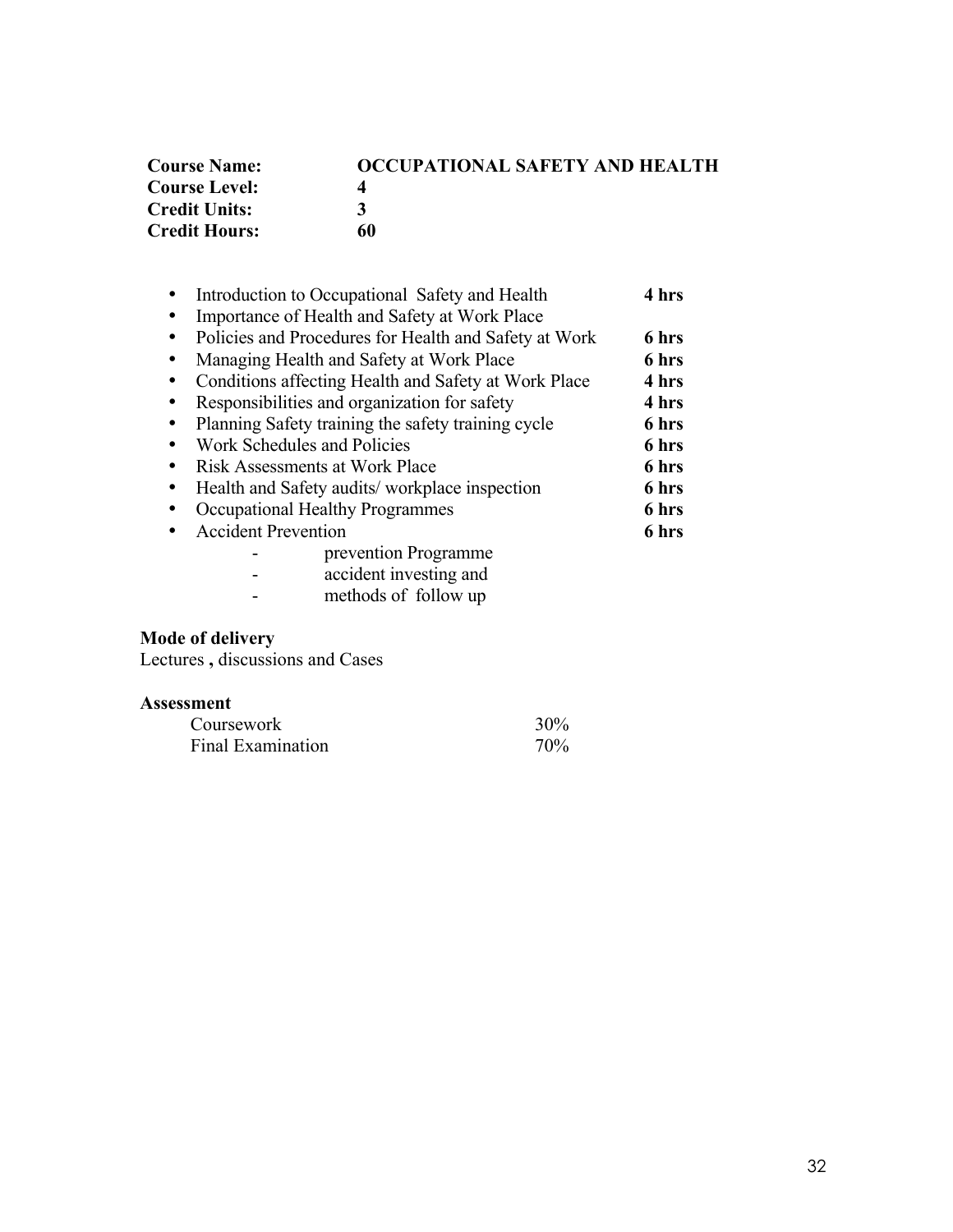| <b>Course Name:</b>  | OCCUPATIONAL SAFETY AND HEALTH |
|----------------------|--------------------------------|
| <b>Course Level:</b> |                                |
| <b>Credit Units:</b> | 3                              |
| <b>Credit Hours:</b> | 60                             |

| Introduction to Occupational Safety and Health        | 4 hrs |
|-------------------------------------------------------|-------|
| Importance of Health and Safety at Work Place         |       |
| Policies and Procedures for Health and Safety at Work | 6 hrs |
| Managing Health and Safety at Work Place              | 6 hrs |
| Conditions affecting Health and Safety at Work Place  | 4 hrs |
| Responsibilities and organization for safety          | 4 hrs |
| Planning Safety training the safety training cycle    | 6 hrs |
| Work Schedules and Policies                           | 6 hrs |
| Risk Assessments at Work Place                        | 6 hrs |
| Health and Safety audits/workplace inspection         | 6 hrs |
| Occupational Healthy Programmes                       | 6 hrs |
| <b>Accident Prevention</b>                            | 6 hrs |
| prevention Programme                                  |       |
|                                                       |       |

- accident investing and

- methods of follow up

#### **Mode of delivery**

Lectures **,** discussions and Cases

| Coursework        | 30%             |
|-------------------|-----------------|
| Final Examination | 70 <sub>%</sub> |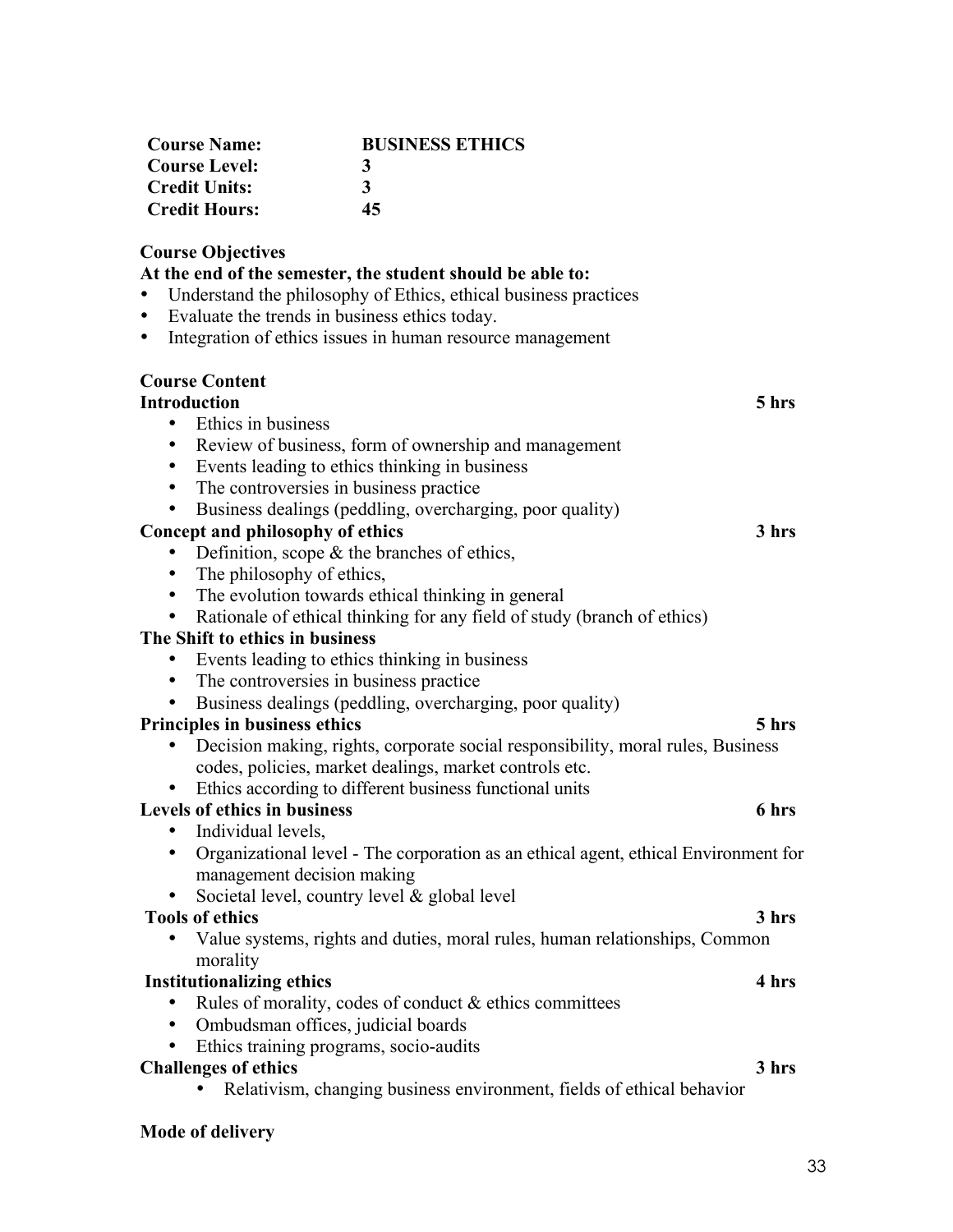| <b>Course Name:</b>  | <b>BUSINESS ETHICS</b> |
|----------------------|------------------------|
| Course Level:        | 3                      |
| <b>Credit Units:</b> | 3                      |
| <b>Credit Hours:</b> | 45                     |

# **Course Objectives**

**At the end of the semester, the student should be able to:** • Understand the philosophy of Ethics, ethical business practices • Evaluate the trends in business ethics today. • Integration of ethics issues in human resource management **Course Content Introduction 5 hrs** • Ethics in business • Review of business, form of ownership and management • Events leading to ethics thinking in business • The controversies in business practice • Business dealings (peddling, overcharging, poor quality) **Concept and philosophy of ethics 3 hrs** • Definition, scope & the branches of ethics, • The philosophy of ethics, • The evolution towards ethical thinking in general • Rationale of ethical thinking for any field of study (branch of ethics) **The Shift to ethics in business** • Events leading to ethics thinking in business • The controversies in business practice • Business dealings (peddling, overcharging, poor quality) **Principles in business ethics 5 hrs** • Decision making, rights, corporate social responsibility, moral rules, Business codes, policies, market dealings, market controls etc. • Ethics according to different business functional units **Levels of ethics in business 6 hrs** • Individual levels. • Organizational level - The corporation as an ethical agent, ethical Environment for management decision making • Societal level, country level & global level **Tools of ethics 3 hrs** • Value systems, rights and duties, moral rules, human relationships, Common morality **Institutionalizing ethics 4 hrs** • Rules of morality, codes of conduct  $&$  ethics committees • Ombudsman offices, judicial boards • Ethics training programs, socio-audits **Challenges of ethics 3 hrs** • Relativism, changing business environment, fields of ethical behavior

**Mode of delivery**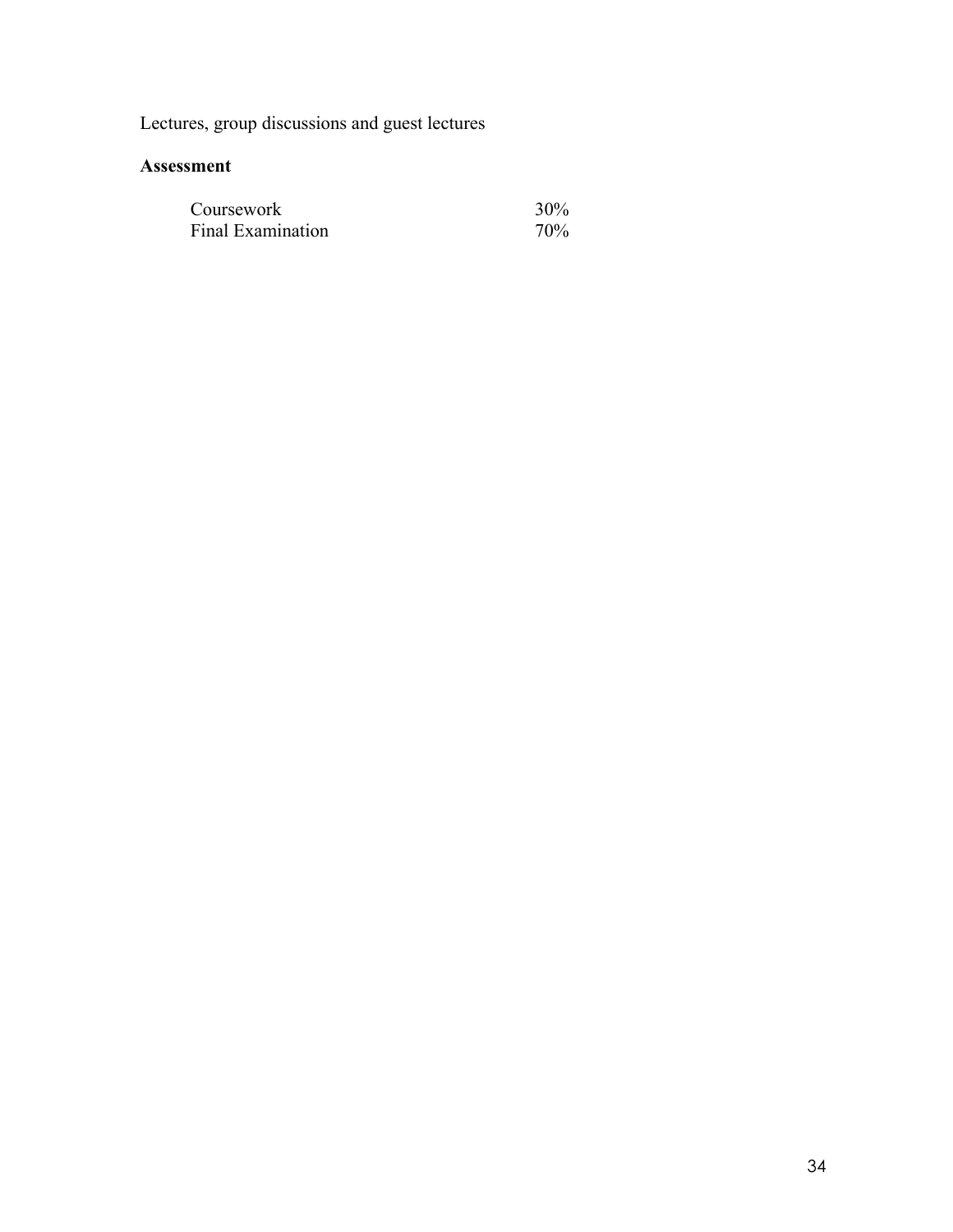Lectures, group discussions and guest lectures

| Coursework        | 30% |
|-------------------|-----|
| Final Examination | 70% |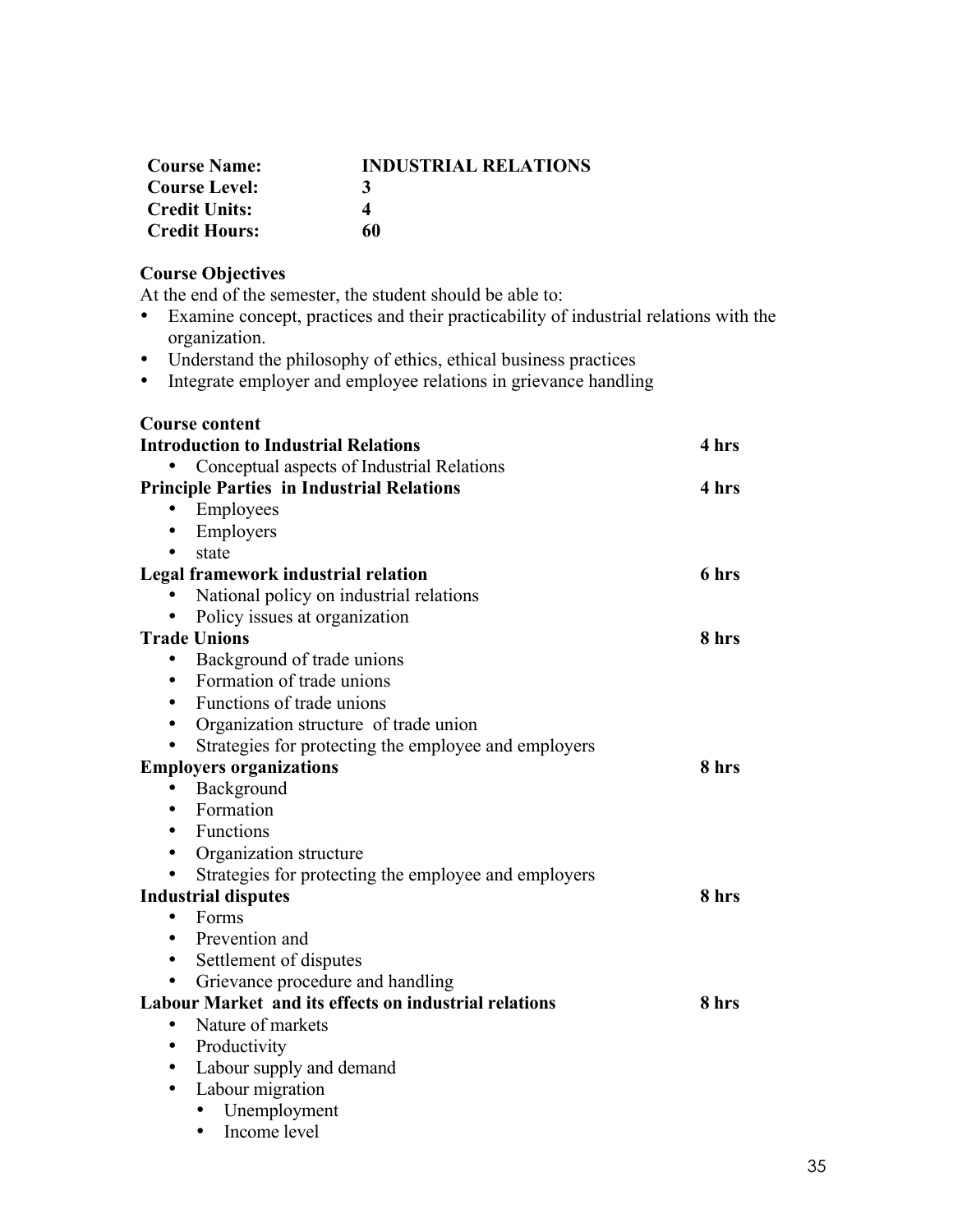| <b>Course Name:</b>  | <b>INDUSTRIAL RELATIONS</b> |
|----------------------|-----------------------------|
| <b>Course Level:</b> | 3                           |
| <b>Credit Units:</b> |                             |
| <b>Credit Hours:</b> | 60                          |

# **Course Objectives**

At the end of the semester, the student should be able to:

- Examine concept, practices and their practicability of industrial relations with the organization.
- Understand the philosophy of ethics, ethical business practices
- Integrate employer and employee relations in grievance handling

#### **Course content**

| <b>Introduction to Industrial Relations</b>                  | 4 hrs |
|--------------------------------------------------------------|-------|
| Conceptual aspects of Industrial Relations                   |       |
| <b>Principle Parties in Industrial Relations</b>             | 4 hrs |
| Employees<br>$\bullet$                                       |       |
| Employers                                                    |       |
| state                                                        |       |
| Legal framework industrial relation                          | 6 hrs |
| National policy on industrial relations                      |       |
| Policy issues at organization                                |       |
| <b>Trade Unions</b>                                          | 8 hrs |
| Background of trade unions<br>$\bullet$                      |       |
| Formation of trade unions<br>٠                               |       |
| Functions of trade unions<br>٠                               |       |
| Organization structure of trade union<br>$\bullet$           |       |
| Strategies for protecting the employee and employers         |       |
| <b>Employers organizations</b>                               | 8 hrs |
| Background                                                   |       |
| Formation<br>٠                                               |       |
| Functions<br>٠                                               |       |
| Organization structure<br>$\bullet$                          |       |
| Strategies for protecting the employee and employers         |       |
| <b>Industrial disputes</b>                                   | 8 hrs |
| Forms<br>$\bullet$                                           |       |
| Prevention and<br>٠                                          |       |
| Settlement of disputes<br>٠                                  |       |
| Grievance procedure and handling                             |       |
| <b>Labour Market and its effects on industrial relations</b> | 8 hrs |
| Nature of markets<br>٠                                       |       |
| Productivity<br>$\bullet$                                    |       |
| Labour supply and demand<br>٠                                |       |
| Labour migration<br>$\bullet$                                |       |
| Unemployment                                                 |       |
| Income level<br>$\bullet$                                    |       |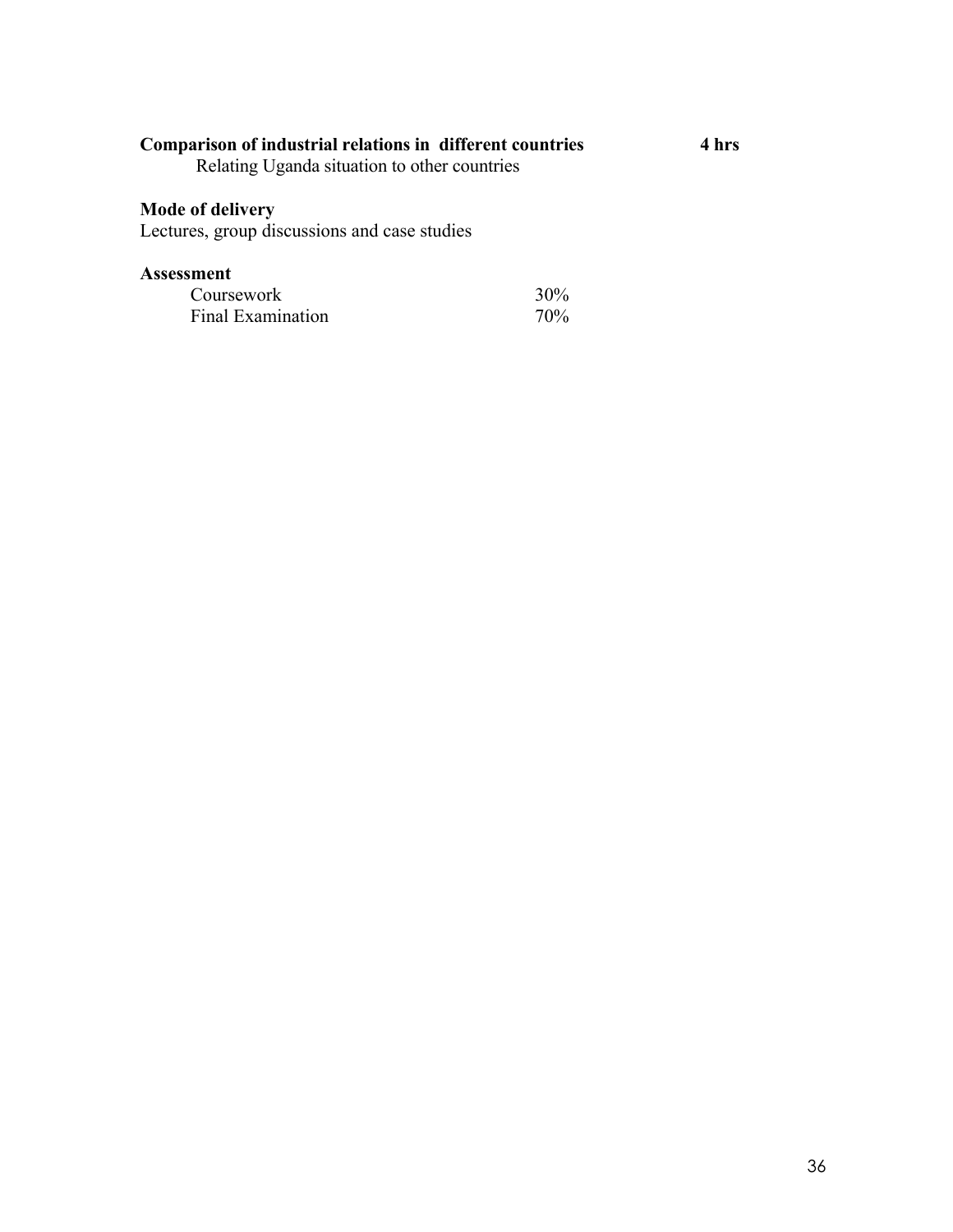# **Comparison of industrial relations in different countries 4 hrs**

Relating Uganda situation to other countries

# **Mode of delivery**

Lectures, group discussions and case studies

| Coursework        | $30\%$ |
|-------------------|--------|
| Final Examination | 70%    |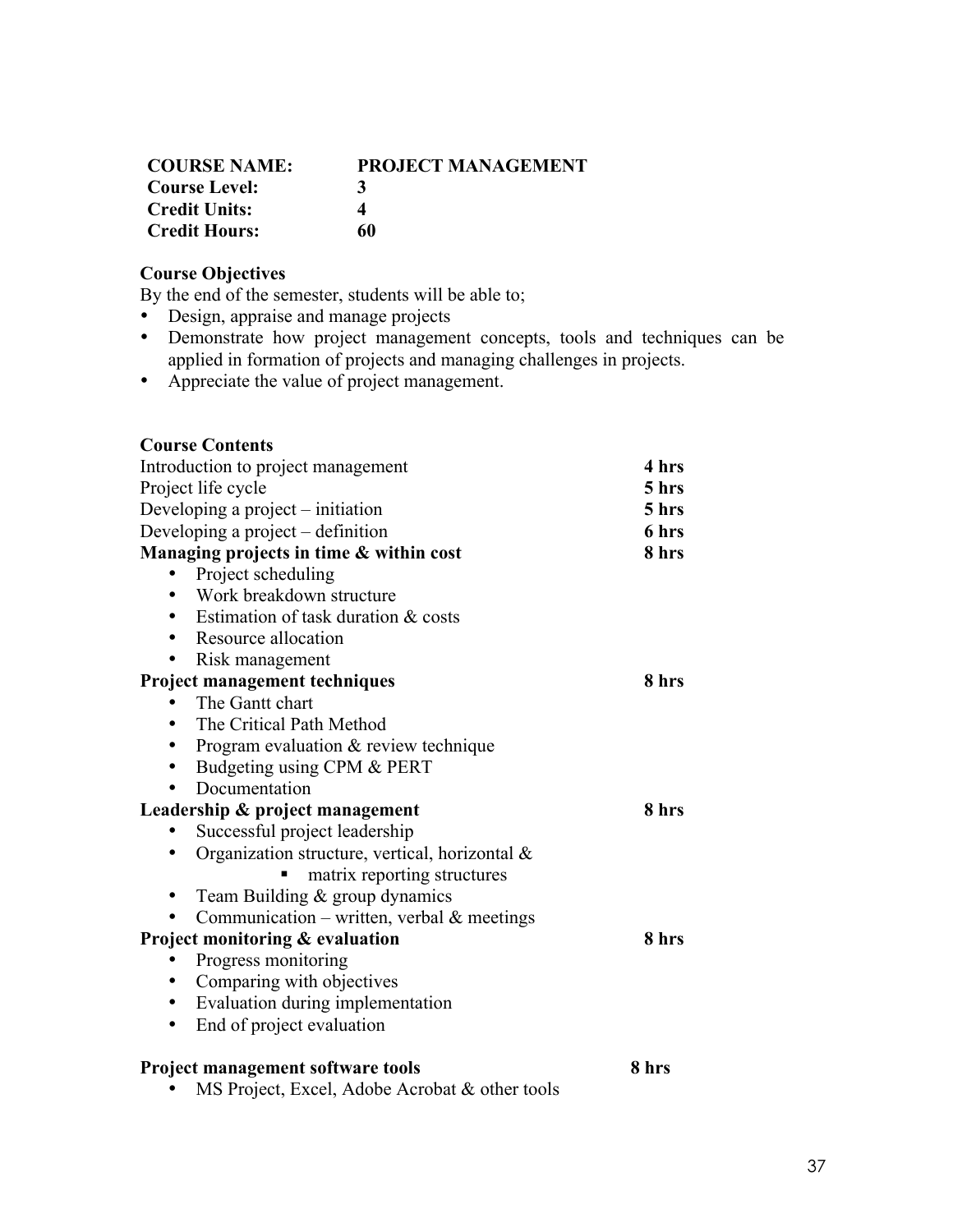| <b>COURSE NAME:</b>  | <b>PROJECT MANAGEMENT</b> |
|----------------------|---------------------------|
| <b>Course Level:</b> | 3                         |
| <b>Credit Units:</b> | Δ                         |
| <b>Credit Hours:</b> | 60                        |

# **Course Objectives**

By the end of the semester, students will be able to;

- Design, appraise and manage projects<br>• Demonstrate how project manageme
- Demonstrate how project management concepts, tools and techniques can be applied in formation of projects and managing challenges in projects.
- Appreciate the value of project management.

| <b>Course Contents</b>                         |       |
|------------------------------------------------|-------|
| Introduction to project management             | 4 hrs |
| Project life cycle                             | 5 hrs |
| Developing a project – initiation              | 5 hrs |
| Developing a project – definition              | 6 hrs |
| Managing projects in time & within cost        | 8 hrs |
| Project scheduling                             |       |
| Work breakdown structure                       |       |
| Estimation of task duration & costs            |       |
| Resource allocation<br>٠                       |       |
| Risk management                                |       |
| Project management techniques                  | 8 hrs |
| The Gantt chart                                |       |
| The Critical Path Method                       |       |
| Program evaluation & review technique<br>٠     |       |
| Budgeting using CPM & PERT<br>$\bullet$        |       |
| Documentation                                  |       |
| Leadership & project management                | 8 hrs |
| Successful project leadership                  |       |
| Organization structure, vertical, horizontal & |       |
| matrix reporting structures                    |       |
| Team Building & group dynamics                 |       |
| Communication – written, verbal $\&$ meetings  |       |
| Project monitoring & evaluation                | 8 hrs |
| Progress monitoring                            |       |
| Comparing with objectives<br>$\bullet$         |       |
| Evaluation during implementation<br>$\bullet$  |       |
| End of project evaluation                      |       |
|                                                |       |
| <b>Project management software tools</b>       | 8 hrs |
| MS Project, Excel, Adobe Acrobat & other tools |       |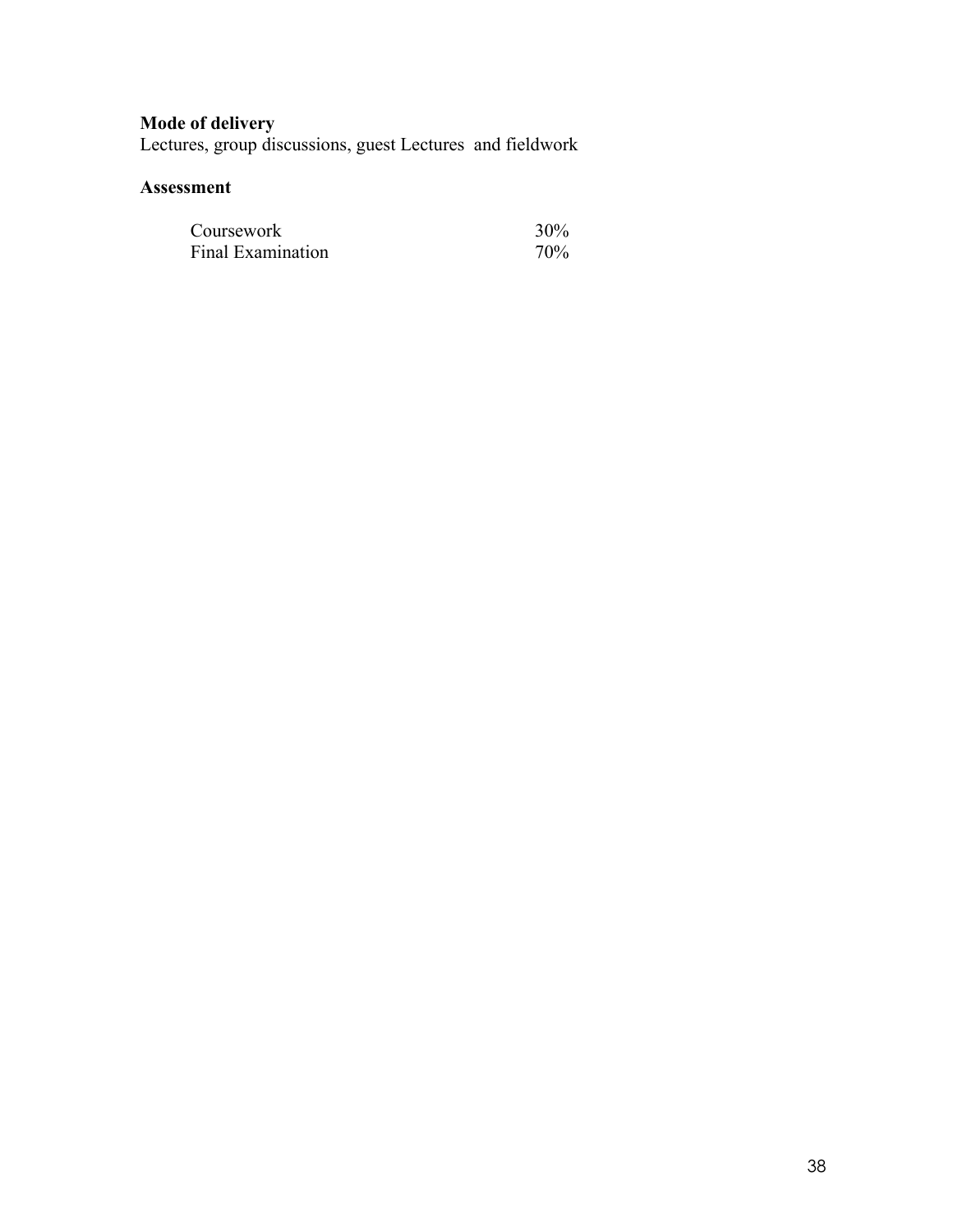# **Mode of delivery**

Lectures, group discussions, guest Lectures and fieldwork

| Coursework        | 30% |
|-------------------|-----|
| Final Examination | 70% |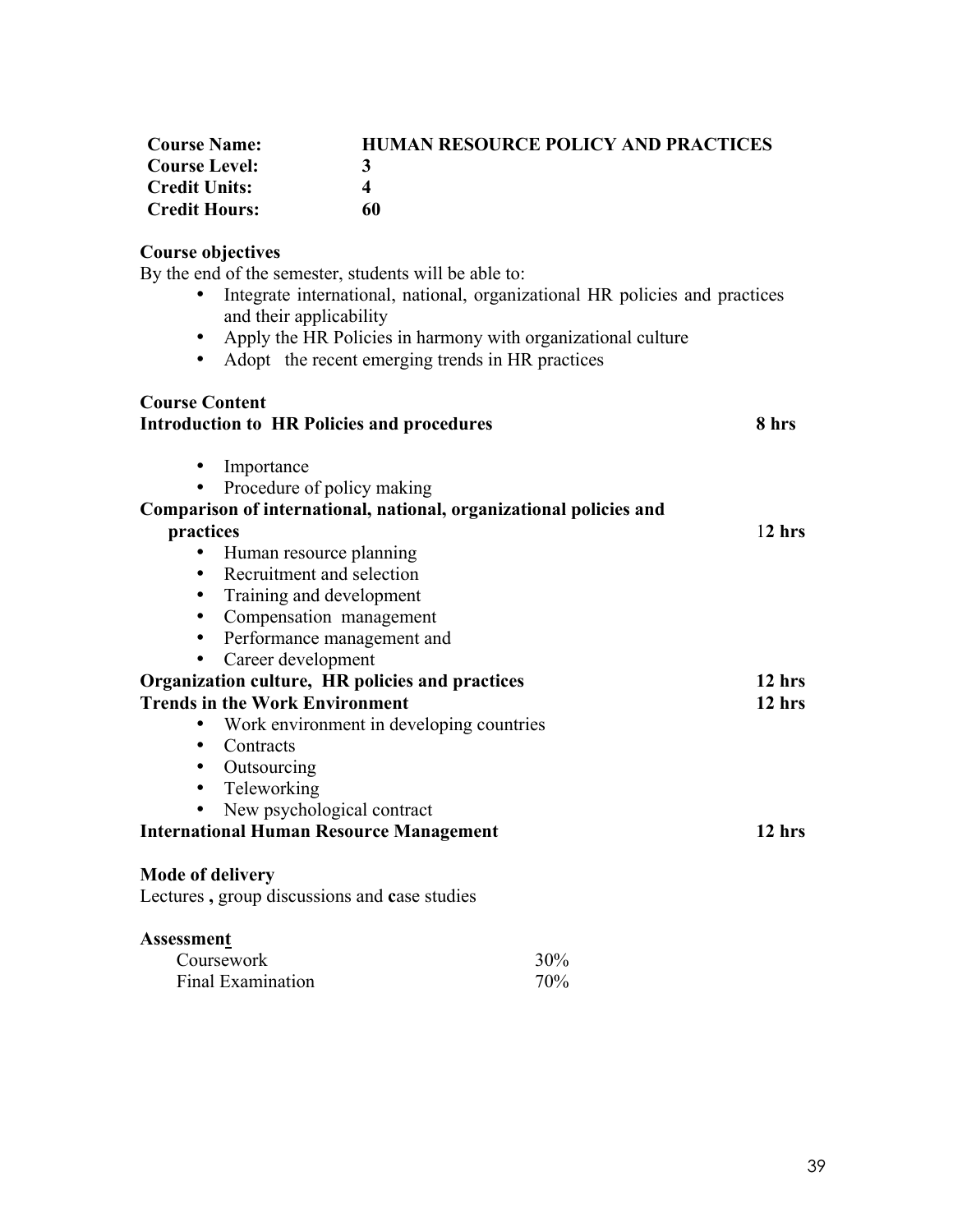| <b>Course Name:</b>  | <b>HUMAN RESOURCE POLICY AND PRACTICES</b> |
|----------------------|--------------------------------------------|
| <b>Course Level:</b> | 3                                          |
| <b>Credit Units:</b> |                                            |
| <b>Credit Hours:</b> | 60                                         |

# **Course objectives**

By the end of the semester, students will be able to:

- Integrate international, national, organizational HR policies and practices and their applicability
- Apply the HR Policies in harmony with organizational culture
- Adopt the recent emerging trends in HR practices

| <b>Course Content</b><br><b>Introduction to HR Policies and procedures</b> |                      | 8 hrs    |
|----------------------------------------------------------------------------|----------------------|----------|
| Importance                                                                 |                      |          |
| • Procedure of policy making                                               |                      |          |
| Comparison of international, national, organizational policies and         |                      |          |
| practices                                                                  |                      | $12$ hrs |
| Human resource planning                                                    |                      |          |
| Recruitment and selection<br>$\bullet$                                     |                      |          |
| Training and development<br>$\bullet$                                      |                      |          |
| Compensation management                                                    |                      |          |
| Performance management and<br>$\bullet$                                    |                      |          |
| Career development<br>$\bullet$                                            |                      |          |
| Organization culture, HR policies and practices                            |                      | $12$ hrs |
| <b>Trends in the Work Environment</b>                                      |                      | 12 hrs   |
| Work environment in developing countries                                   |                      |          |
| Contracts<br>٠                                                             |                      |          |
| Outsourcing<br>$\bullet$                                                   |                      |          |
| Teleworking<br>$\bullet$                                                   |                      |          |
| New psychological contract                                                 |                      |          |
| <b>International Human Resource Management</b>                             |                      | $12$ hrs |
| <b>Mode of delivery</b>                                                    |                      |          |
| Lectures, group discussions and case studies                               |                      |          |
| <b>Assessment</b>                                                          |                      |          |
| Coursework                                                                 | 30%                  |          |
| $\overline{\phantom{a}}$                                                   | $\sim$ $\sim$ $\sim$ |          |

Final Examination 70%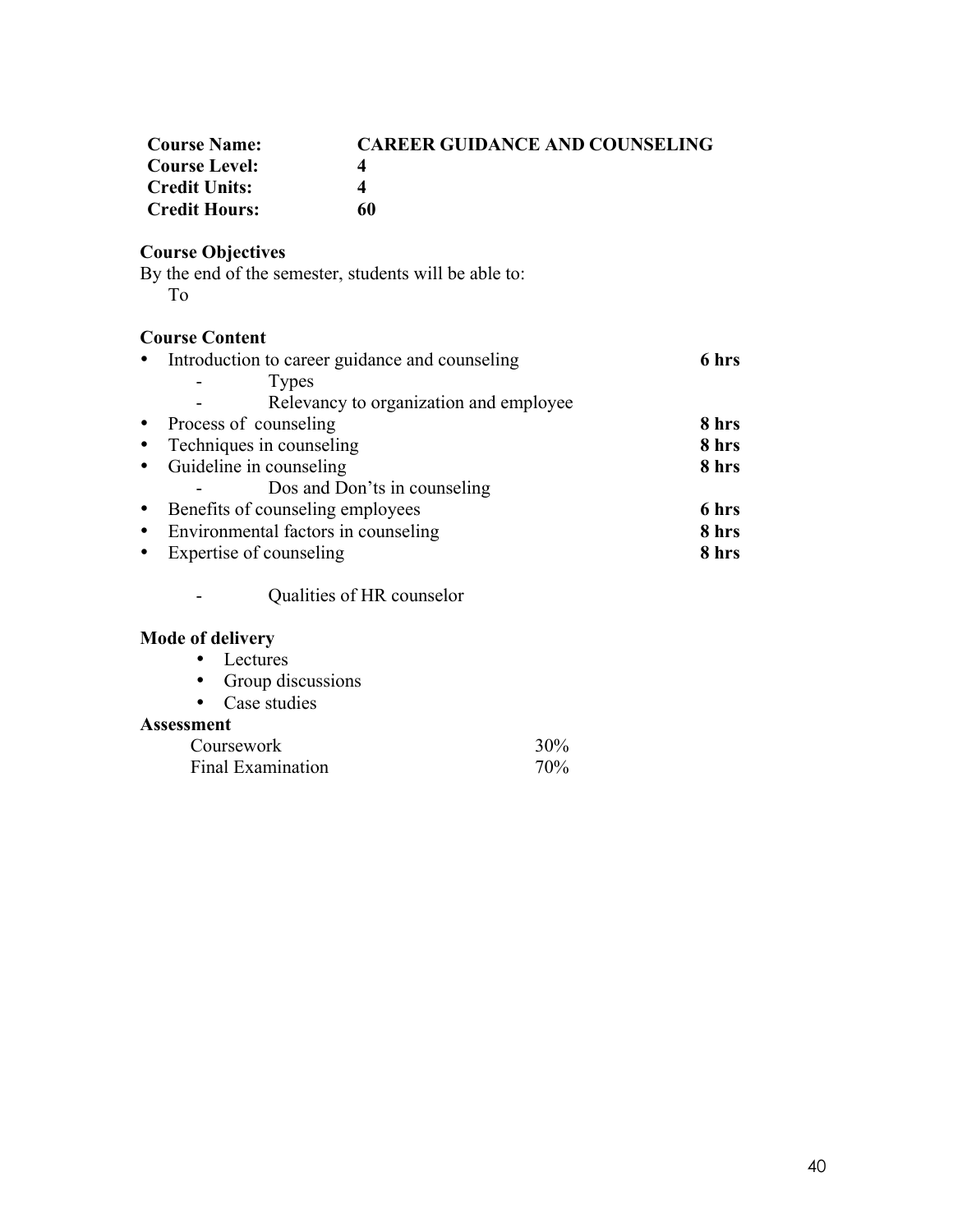| <b>Course Name:</b>  | <b>CAREER GUIDANCE AND COUNSELING</b> |
|----------------------|---------------------------------------|
| <b>Course Level:</b> | Δ                                     |
| <b>Credit Units:</b> | Δ                                     |
| <b>Credit Hours:</b> | 60                                    |

# **Course Objectives**

By the end of the semester, students will be able to: To

# **Course Content**

|           | • Introduction to career guidance and counseling | 6 hrs |
|-----------|--------------------------------------------------|-------|
|           | <b>Types</b>                                     |       |
|           | Relevancy to organization and employee           |       |
|           | • Process of counseling                          | 8 hrs |
|           | • Techniques in counseling                       | 8 hrs |
|           | • Guideline in counseling                        | 8 hrs |
|           | Dos and Don'ts in counseling                     |       |
|           | • Benefits of counseling employees               | 6 hrs |
|           | • Environmental factors in counseling            | 8 hrs |
| $\bullet$ | Expertise of counseling                          | 8 hrs |
|           |                                                  |       |

- Qualities of HR counselor

# **Mode of delivery**

- Lectures
- Group discussions
- Case studies

| Coursework        | 30% |
|-------------------|-----|
| Final Examination | 70% |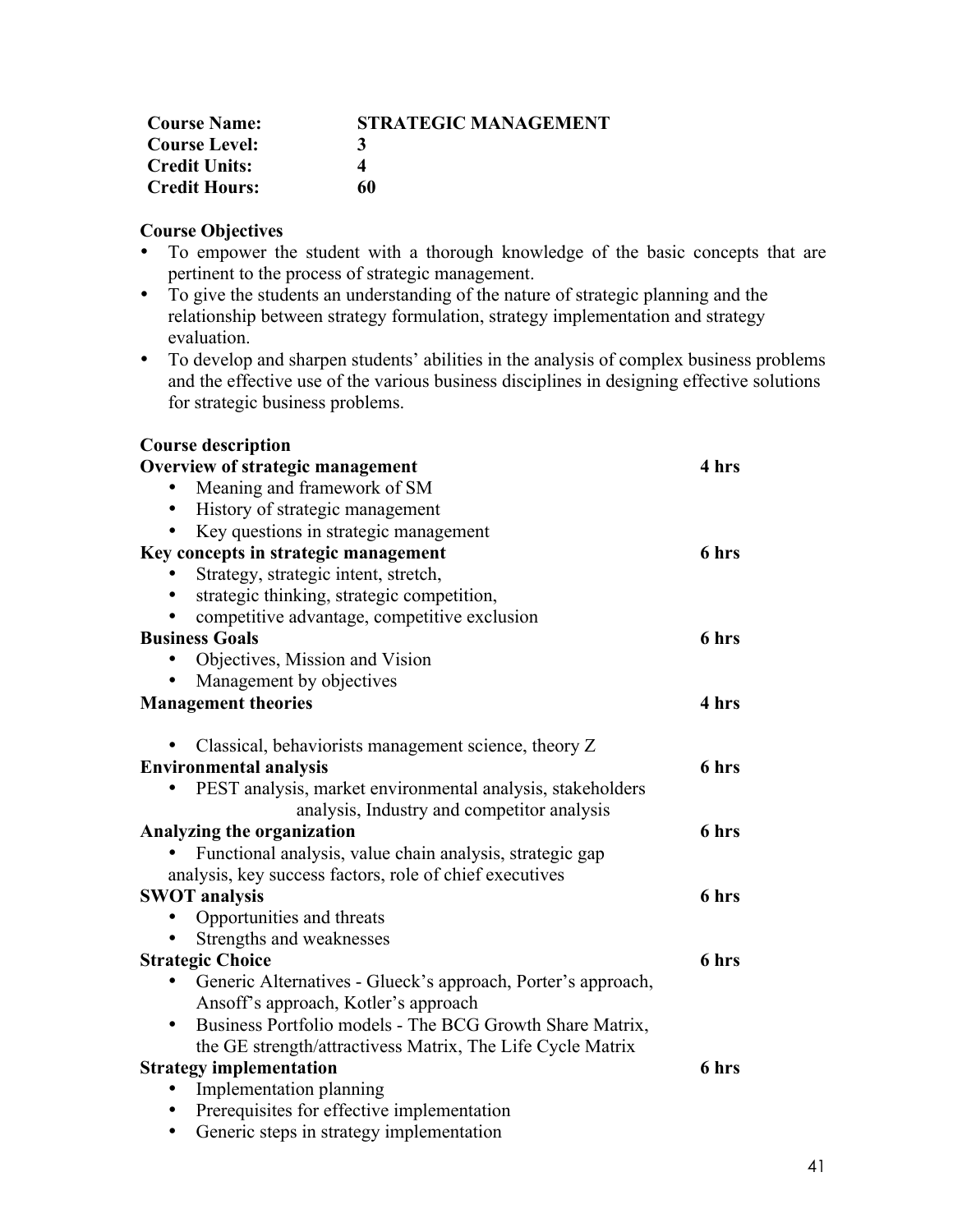| <b>Course Name:</b>  | <b>STRATEGIC MANAGEMENT</b> |
|----------------------|-----------------------------|
| <b>Course Level:</b> |                             |
| <b>Credit Units:</b> |                             |
| <b>Credit Hours:</b> | 60                          |

# **Course Objectives**

- To empower the student with a thorough knowledge of the basic concepts that are pertinent to the process of strategic management.
- To give the students an understanding of the nature of strategic planning and the relationship between strategy formulation, strategy implementation and strategy evaluation.
- To develop and sharpen students' abilities in the analysis of complex business problems and the effective use of the various business disciplines in designing effective solutions for strategic business problems.

| <b>Course description</b>                                             |       |
|-----------------------------------------------------------------------|-------|
| Overview of strategic management                                      | 4 hrs |
| Meaning and framework of SM                                           |       |
| History of strategic management                                       |       |
| Key questions in strategic management                                 |       |
| Key concepts in strategic management                                  | 6 hrs |
| Strategy, strategic intent, stretch,                                  |       |
| strategic thinking, strategic competition,                            |       |
| competitive advantage, competitive exclusion                          |       |
| <b>Business Goals</b>                                                 | 6 hrs |
| Objectives, Mission and Vision                                        |       |
| Management by objectives                                              |       |
| <b>Management theories</b>                                            | 4 hrs |
|                                                                       |       |
| Classical, behaviorists management science, theory Z                  |       |
| <b>Environmental analysis</b>                                         | 6 hrs |
| PEST analysis, market environmental analysis, stakeholders            |       |
| analysis, Industry and competitor analysis                            |       |
| Analyzing the organization                                            | 6 hrs |
| Functional analysis, value chain analysis, strategic gap              |       |
| analysis, key success factors, role of chief executives               |       |
| <b>SWOT</b> analysis                                                  | 6 hrs |
| Opportunities and threats                                             |       |
| Strengths and weaknesses                                              |       |
| <b>Strategic Choice</b>                                               | 6 hrs |
| Generic Alternatives - Glueck's approach, Porter's approach,<br>٠     |       |
| Ansoff's approach, Kotler's approach                                  |       |
| Business Portfolio models - The BCG Growth Share Matrix,<br>$\bullet$ |       |
| the GE strength/attractivess Matrix, The Life Cycle Matrix            |       |
| <b>Strategy implementation</b>                                        | 6 hrs |
| Implementation planning                                               |       |
| Prerequisites for effective implementation<br>٠                       |       |
| Generic steps in strategy implementation                              |       |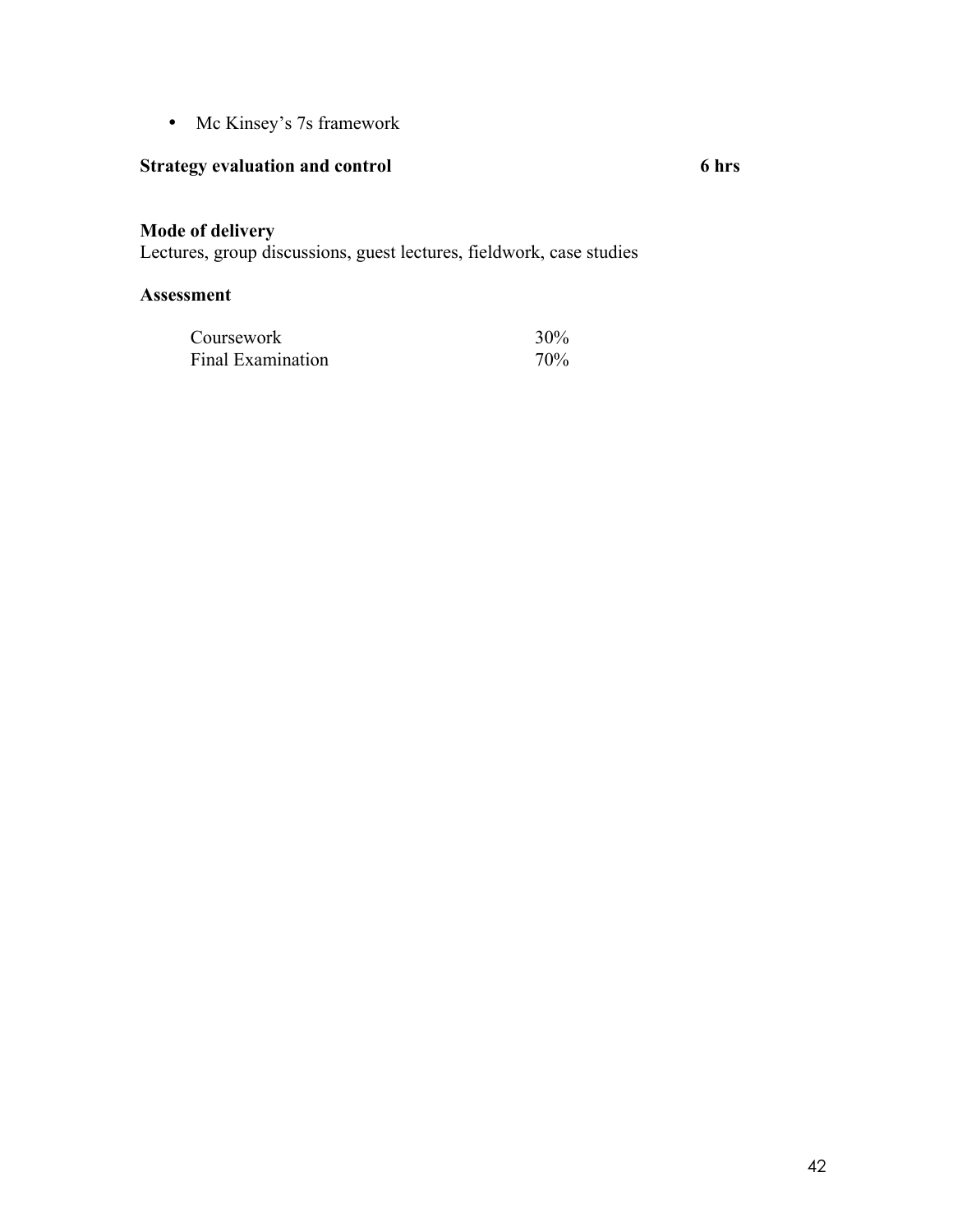• Mc Kinsey's 7s framework

# **Strategy evaluation and control 6 hrs**

# **Mode of delivery**

Lectures, group discussions, guest lectures, fieldwork, case studies

| Coursework        | 30% |
|-------------------|-----|
| Final Examination | 70% |